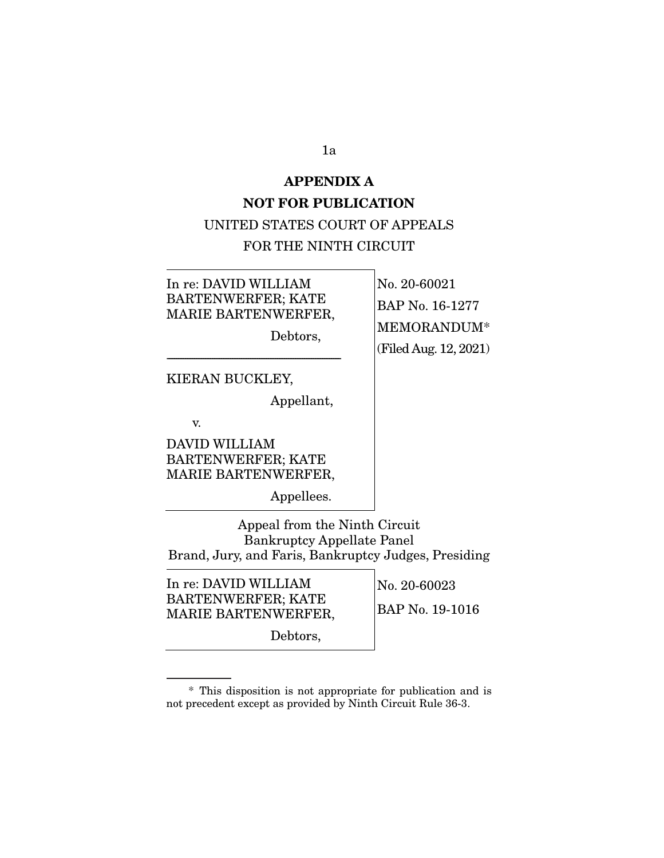#### **APPENDIX A**

#### **NOT FOR PUBLICATION**

## UNITED STATES COURT OF APPEALS

#### FOR THE NINTH CIRCUIT

In re: DAVID WILLIAM BARTENWERFER; KATE MARIE BARTENWERFER,

------------------------------------------------------------------------------------------------

Debtors,

No. 20-60021 BAP No. 16-1277 MEMORANDUM\* (Filed Aug. 12, 2021)

KIERAN BUCKLEY,

Appellant,

v.

DAVID WILLIAM BARTENWERFER; KATE MARIE BARTENWERFER,

Appellees.

Appeal from the Ninth Circuit Bankruptcy Appellate Panel Brand, Jury, and Faris, Bankruptcy Judges, Presiding

In re: DAVID WILLIAM BARTENWERFER; KATE MARIE BARTENWERFER, No. 20-60023

BAP No. 19-1016

Debtors,

1a

 <sup>\*</sup> This disposition is not appropriate for publication and is not precedent except as provided by Ninth Circuit Rule 36-3.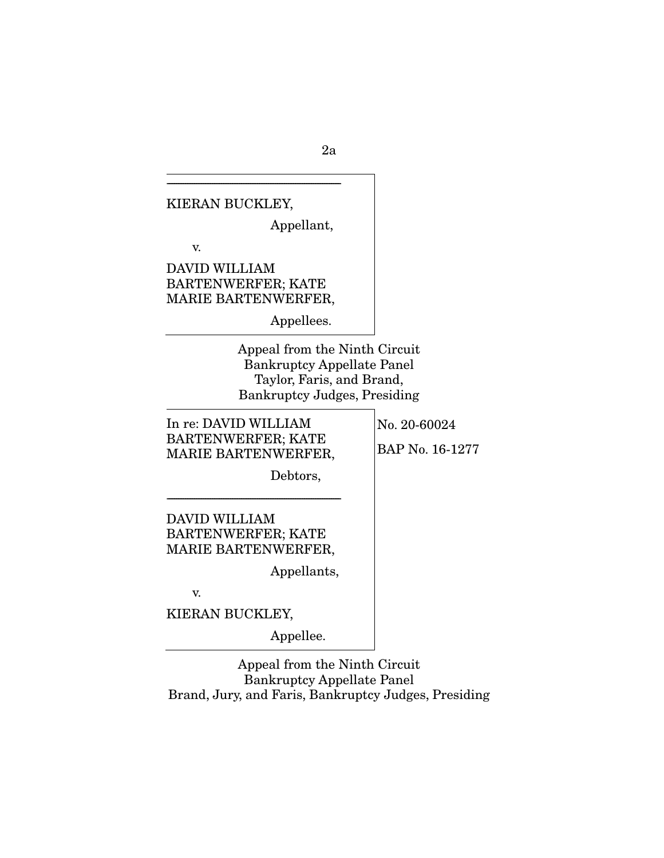------------------------------------------------------------------------------------------------ KIERAN BUCKLEY, Appellant, v. DAVID WILLIAM BARTENWERFER; KATE MARIE BARTENWERFER, Appellees. Appeal from the Ninth Circuit Bankruptcy Appellate Panel Taylor, Faris, and Brand, Bankruptcy Judges, Presiding In re: DAVID WILLIAM BARTENWERFER; KATE MARIE BARTENWERFER, Debtors, ------------------------------------------------------------------------------------------------ DAVID WILLIAM BARTENWERFER; KATE MARIE BARTENWERFER, Appellants, v. KIERAN BUCKLEY, Appellee. No. 20-60024 BAP No. 16-1277

Appeal from the Ninth Circuit Bankruptcy Appellate Panel Brand, Jury, and Faris, Bankruptcy Judges, Presiding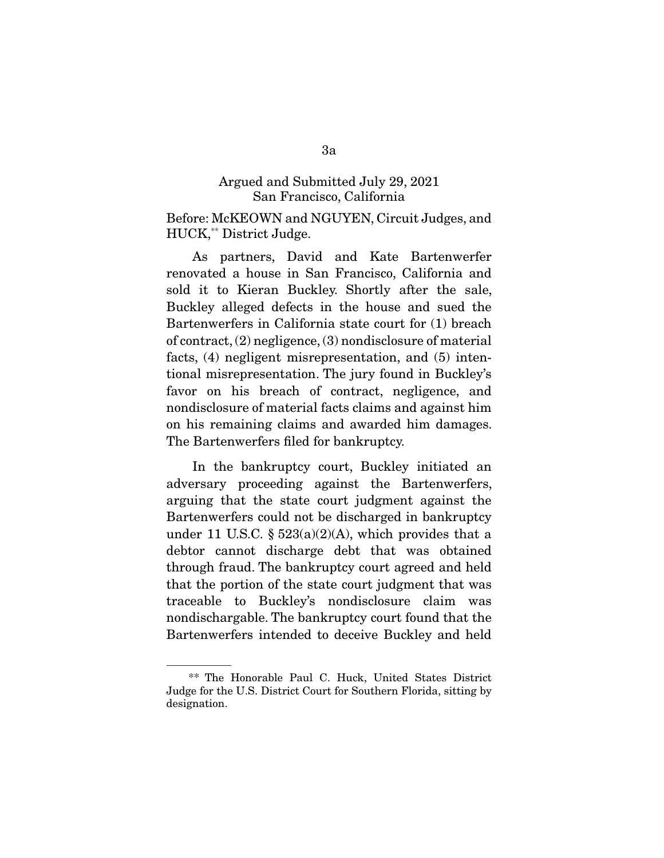#### Argued and Submitted July 29, 2021 San Francisco, California

Before: McKEOWN and NGUYEN, Circuit Judges, and HUCK,\*\* District Judge.

 As partners, David and Kate Bartenwerfer renovated a house in San Francisco, California and sold it to Kieran Buckley. Shortly after the sale, Buckley alleged defects in the house and sued the Bartenwerfers in California state court for (1) breach of contract, (2) negligence, (3) nondisclosure of material facts, (4) negligent misrepresentation, and (5) intentional misrepresentation. The jury found in Buckley's favor on his breach of contract, negligence, and nondisclosure of material facts claims and against him on his remaining claims and awarded him damages. The Bartenwerfers filed for bankruptcy.

 In the bankruptcy court, Buckley initiated an adversary proceeding against the Bartenwerfers, arguing that the state court judgment against the Bartenwerfers could not be discharged in bankruptcy under 11 U.S.C.  $\S 523(a)(2)(A)$ , which provides that a debtor cannot discharge debt that was obtained through fraud. The bankruptcy court agreed and held that the portion of the state court judgment that was traceable to Buckley's nondisclosure claim was nondischargable. The bankruptcy court found that the Bartenwerfers intended to deceive Buckley and held

 <sup>\*\*</sup> The Honorable Paul C. Huck, United States District Judge for the U.S. District Court for Southern Florida, sitting by designation.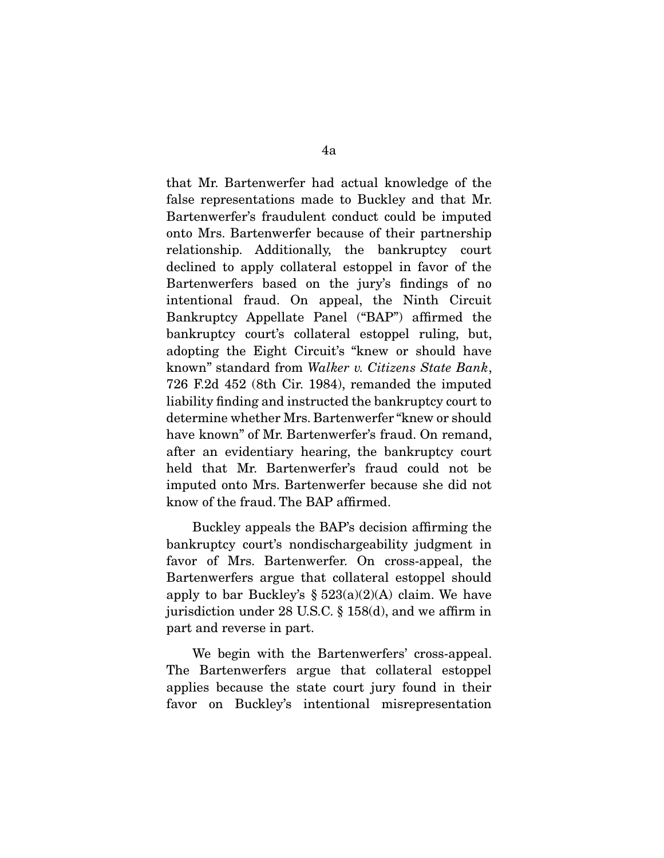that Mr. Bartenwerfer had actual knowledge of the false representations made to Buckley and that Mr. Bartenwerfer's fraudulent conduct could be imputed onto Mrs. Bartenwerfer because of their partnership relationship. Additionally, the bankruptcy court declined to apply collateral estoppel in favor of the Bartenwerfers based on the jury's findings of no intentional fraud. On appeal, the Ninth Circuit Bankruptcy Appellate Panel ("BAP") affirmed the bankruptcy court's collateral estoppel ruling, but, adopting the Eight Circuit's "knew or should have known" standard from *Walker v. Citizens State Bank*, 726 F.2d 452 (8th Cir. 1984), remanded the imputed liability finding and instructed the bankruptcy court to determine whether Mrs. Bartenwerfer "knew or should have known" of Mr. Bartenwerfer's fraud. On remand, after an evidentiary hearing, the bankruptcy court held that Mr. Bartenwerfer's fraud could not be imputed onto Mrs. Bartenwerfer because she did not know of the fraud. The BAP affirmed.

 Buckley appeals the BAP's decision affirming the bankruptcy court's nondischargeability judgment in favor of Mrs. Bartenwerfer. On cross-appeal, the Bartenwerfers argue that collateral estoppel should apply to bar Buckley's  $\S 523(a)(2)(A)$  claim. We have jurisdiction under 28 U.S.C. § 158(d), and we affirm in part and reverse in part.

 We begin with the Bartenwerfers' cross-appeal. The Bartenwerfers argue that collateral estoppel applies because the state court jury found in their favor on Buckley's intentional misrepresentation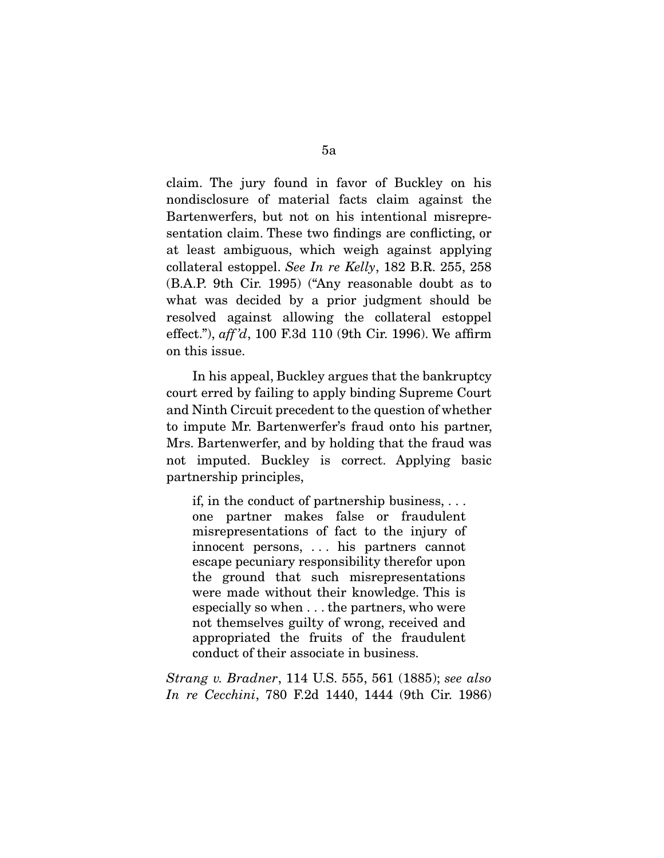claim. The jury found in favor of Buckley on his nondisclosure of material facts claim against the Bartenwerfers, but not on his intentional misrepresentation claim. These two findings are conflicting, or at least ambiguous, which weigh against applying collateral estoppel. *See In re Kelly*, 182 B.R. 255, 258 (B.A.P. 9th Cir. 1995) ("Any reasonable doubt as to what was decided by a prior judgment should be resolved against allowing the collateral estoppel effect."), *aff 'd*, 100 F.3d 110 (9th Cir. 1996). We affirm on this issue.

 In his appeal, Buckley argues that the bankruptcy court erred by failing to apply binding Supreme Court and Ninth Circuit precedent to the question of whether to impute Mr. Bartenwerfer's fraud onto his partner, Mrs. Bartenwerfer, and by holding that the fraud was not imputed. Buckley is correct. Applying basic partnership principles,

if, in the conduct of partnership business, . . . one partner makes false or fraudulent misrepresentations of fact to the injury of innocent persons, . . . his partners cannot escape pecuniary responsibility therefor upon the ground that such misrepresentations were made without their knowledge. This is especially so when . . . the partners, who were not themselves guilty of wrong, received and appropriated the fruits of the fraudulent conduct of their associate in business.

*Strang v. Bradner*, 114 U.S. 555, 561 (1885); *see also In re Cecchini*, 780 F.2d 1440, 1444 (9th Cir. 1986)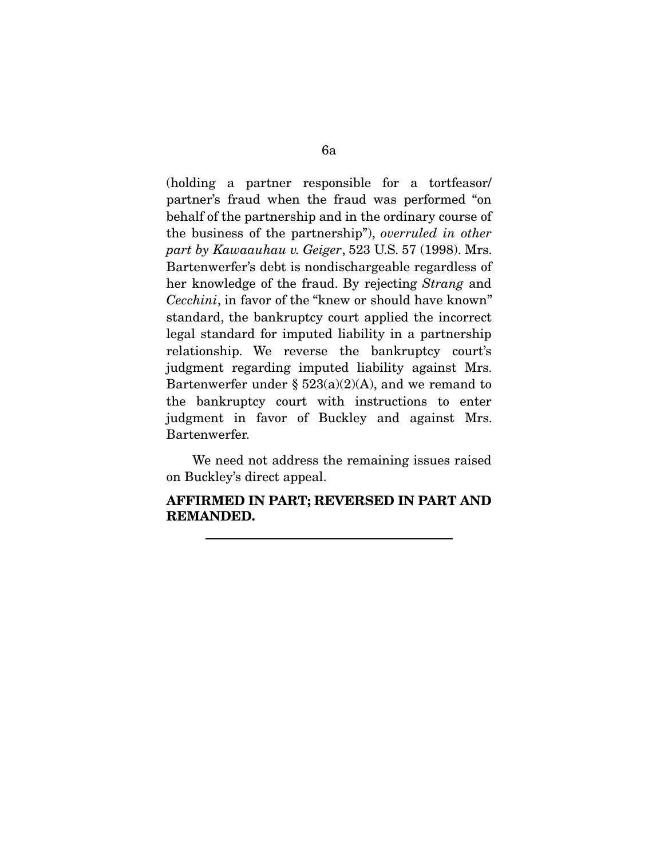(holding a partner responsible for a tortfeasor/ partner's fraud when the fraud was performed "on behalf of the partnership and in the ordinary course of the business of the partnership"), *overruled in other part by Kawaauhau v. Geiger*, 523 U.S. 57 (1998). Mrs. Bartenwerfer's debt is nondischargeable regardless of her knowledge of the fraud. By rejecting *Strang* and *Cecchini*, in favor of the "knew or should have known" standard, the bankruptcy court applied the incorrect legal standard for imputed liability in a partnership relationship. We reverse the bankruptcy court's judgment regarding imputed liability against Mrs. Bartenwerfer under  $\S$  523(a)(2)(A), and we remand to the bankruptcy court with instructions to enter judgment in favor of Buckley and against Mrs. Bartenwerfer.

 We need not address the remaining issues raised on Buckley's direct appeal.

# **AFFIRMED IN PART; REVERSED IN PART AND REMANDED.**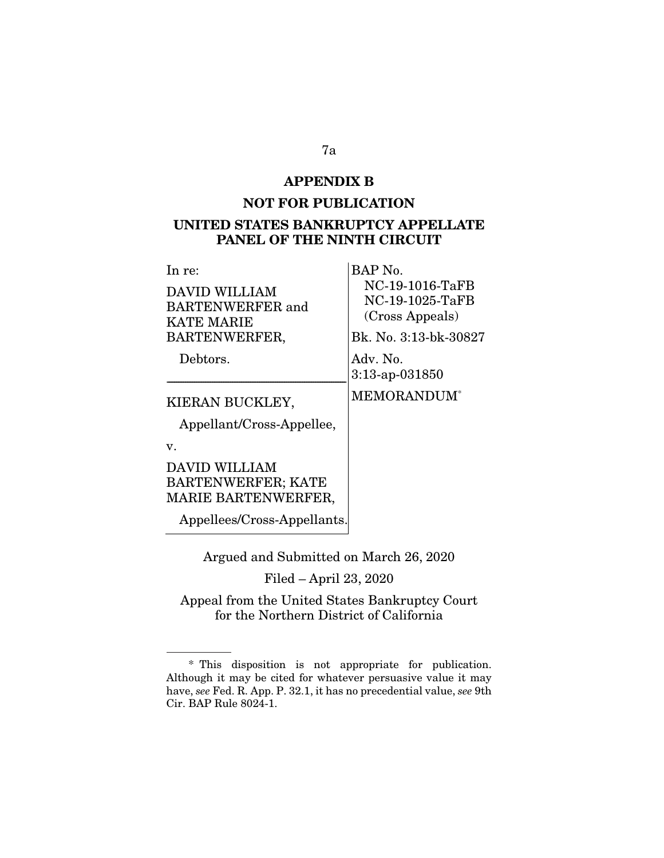#### **APPENDIX B**

# **NOT FOR PUBLICATION UNITED STATES BANKRUPTCY APPELLATE PANEL OF THE NINTH CIRCUIT**

 $\mathcal{L}$ 

| In re:                                                                   | BAP No.                                               |
|--------------------------------------------------------------------------|-------------------------------------------------------|
| DAVID WILLIAM<br><b>BARTENWERFER</b> and<br><b>KATE MARIE</b>            | NC-19-1016-TaFB<br>NC-19-1025-TaFB<br>(Cross Appeals) |
| BARTENWERFER,                                                            | Bk. No. 3:13-bk-30827                                 |
| Debtors.                                                                 | Adv. No.<br>$3:13$ -ap-031850                         |
| KIERAN BUCKLEY,<br>Appellant/Cross-Appellee,                             | MEMORANDUM*                                           |
| $\mathbf{v}$ .                                                           |                                                       |
| DAVID WILLIAM<br><b>BARTENWERFER; KATE</b><br><b>MARIE BARTENWERFER,</b> |                                                       |
| Appellees/Cross-Appellants.                                              |                                                       |

Argued and Submitted on March 26, 2020

Filed – April 23, 2020

Appeal from the United States Bankruptcy Court for the Northern District of California

 <sup>\*</sup> This disposition is not appropriate for publication. Although it may be cited for whatever persuasive value it may have, *see* Fed. R. App. P. 32.1, it has no precedential value, *see* 9th Cir. BAP Rule 8024-1.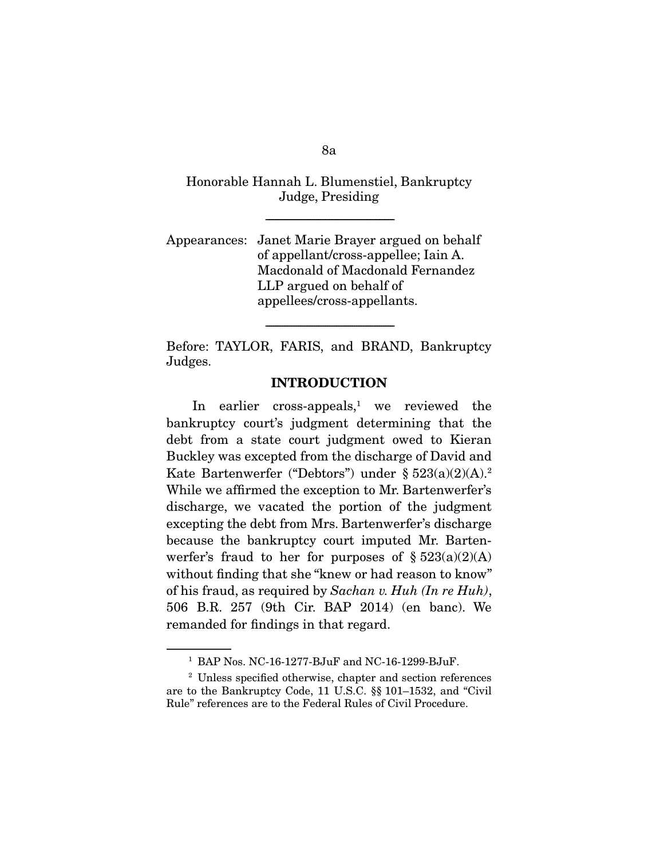Honorable Hannah L. Blumenstiel, Bankruptcy Judge, Presiding

-----------------------------------------------------------------------

Appearances: Janet Marie Brayer argued on behalf of appellant/cross-appellee; Iain A. Macdonald of Macdonald Fernandez LLP argued on behalf of appellees/cross-appellants.

Before: TAYLOR, FARIS, and BRAND, Bankruptcy Judges.

-----------------------------------------------------------------------

## **INTRODUCTION**

In earlier cross-appeals,<sup>1</sup> we reviewed the bankruptcy court's judgment determining that the debt from a state court judgment owed to Kieran Buckley was excepted from the discharge of David and Kate Bartenwerfer ("Debtors") under §  $523(a)(2)(A).^2$ While we affirmed the exception to Mr. Bartenwerfer's discharge, we vacated the portion of the judgment excepting the debt from Mrs. Bartenwerfer's discharge because the bankruptcy court imputed Mr. Bartenwerfer's fraud to her for purposes of  $\S 523(a)(2)(A)$ without finding that she "knew or had reason to know" of his fraud, as required by *Sachan v. Huh (In re Huh)*, 506 B.R. 257 (9th Cir. BAP 2014) (en banc). We remanded for findings in that regard.

8a

<sup>1</sup> BAP Nos. NC-16-1277-BJuF and NC-16-1299-BJuF.

<sup>2</sup> Unless specified otherwise, chapter and section references are to the Bankruptcy Code, 11 U.S.C. §§ 101–1532, and "Civil Rule" references are to the Federal Rules of Civil Procedure.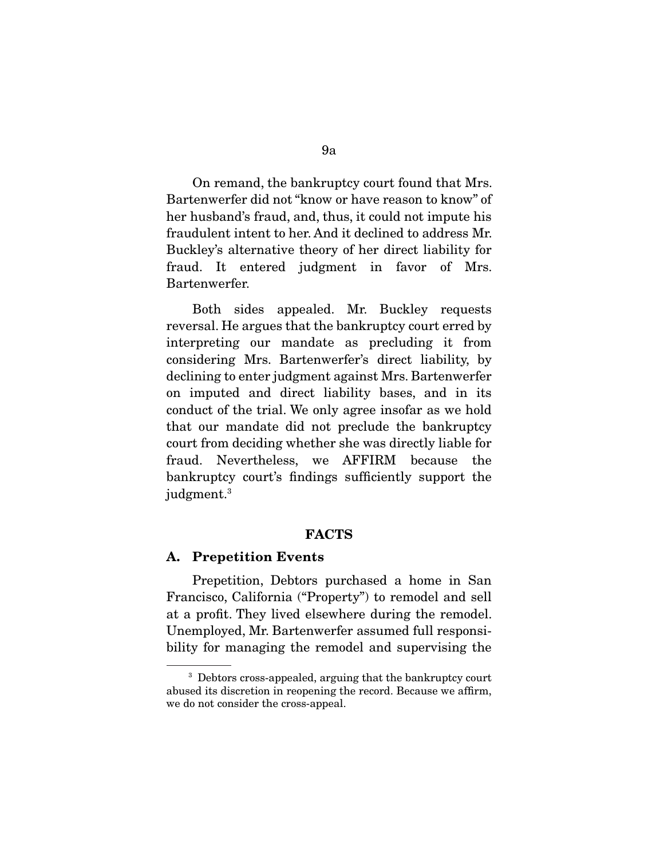On remand, the bankruptcy court found that Mrs. Bartenwerfer did not "know or have reason to know" of her husband's fraud, and, thus, it could not impute his fraudulent intent to her. And it declined to address Mr. Buckley's alternative theory of her direct liability for fraud. It entered judgment in favor of Mrs. Bartenwerfer.

 Both sides appealed. Mr. Buckley requests reversal. He argues that the bankruptcy court erred by interpreting our mandate as precluding it from considering Mrs. Bartenwerfer's direct liability, by declining to enter judgment against Mrs. Bartenwerfer on imputed and direct liability bases, and in its conduct of the trial. We only agree insofar as we hold that our mandate did not preclude the bankruptcy court from deciding whether she was directly liable for fraud. Nevertheless, we AFFIRM because the bankruptcy court's findings sufficiently support the judgment.<sup>3</sup>

#### **FACTS**

#### **A. Prepetition Events**

 Prepetition, Debtors purchased a home in San Francisco, California ("Property") to remodel and sell at a profit. They lived elsewhere during the remodel. Unemployed, Mr. Bartenwerfer assumed full responsibility for managing the remodel and supervising the

<sup>&</sup>lt;sup>3</sup> Debtors cross-appealed, arguing that the bankruptcy court abused its discretion in reopening the record. Because we affirm, we do not consider the cross-appeal.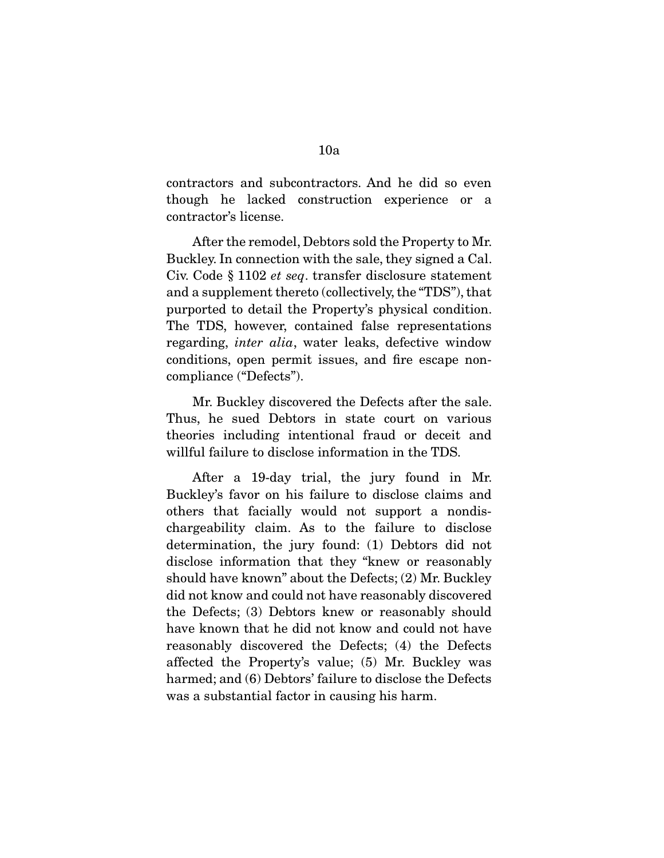contractors and subcontractors. And he did so even though he lacked construction experience or a contractor's license.

 After the remodel, Debtors sold the Property to Mr. Buckley. In connection with the sale, they signed a Cal. Civ. Code § 1102 *et seq*. transfer disclosure statement and a supplement thereto (collectively, the "TDS"), that purported to detail the Property's physical condition. The TDS, however, contained false representations regarding, *inter alia*, water leaks, defective window conditions, open permit issues, and fire escape noncompliance ("Defects").

 Mr. Buckley discovered the Defects after the sale. Thus, he sued Debtors in state court on various theories including intentional fraud or deceit and willful failure to disclose information in the TDS.

 After a 19-day trial, the jury found in Mr. Buckley's favor on his failure to disclose claims and others that facially would not support a nondischargeability claim. As to the failure to disclose determination, the jury found: (1) Debtors did not disclose information that they "knew or reasonably should have known" about the Defects; (2) Mr. Buckley did not know and could not have reasonably discovered the Defects; (3) Debtors knew or reasonably should have known that he did not know and could not have reasonably discovered the Defects; (4) the Defects affected the Property's value; (5) Mr. Buckley was harmed; and (6) Debtors' failure to disclose the Defects was a substantial factor in causing his harm.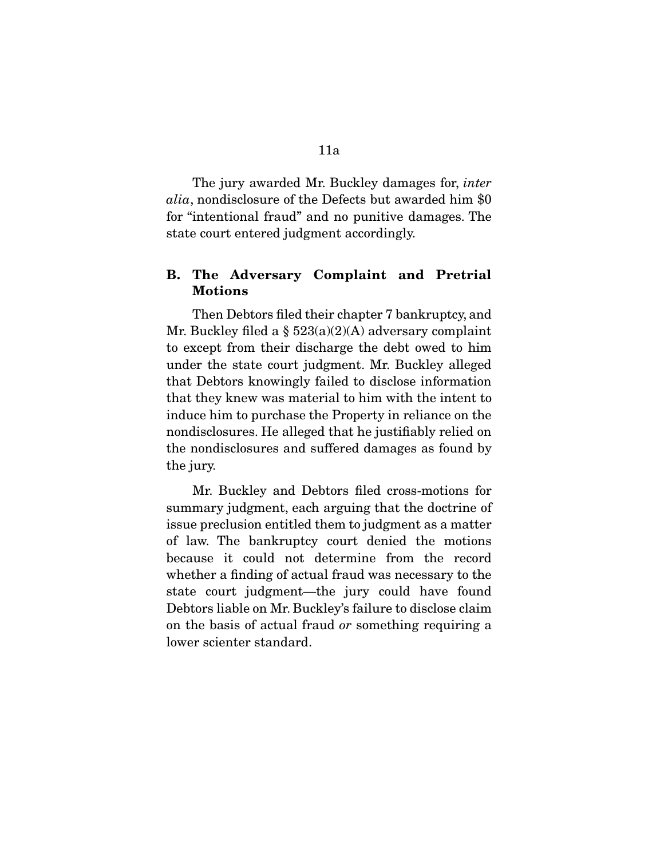The jury awarded Mr. Buckley damages for, *inter alia*, nondisclosure of the Defects but awarded him \$0 for "intentional fraud" and no punitive damages. The state court entered judgment accordingly.

# **B. The Adversary Complaint and Pretrial Motions**

 Then Debtors filed their chapter 7 bankruptcy, and Mr. Buckley filed a  $\S 523(a)(2)(A)$  adversary complaint to except from their discharge the debt owed to him under the state court judgment. Mr. Buckley alleged that Debtors knowingly failed to disclose information that they knew was material to him with the intent to induce him to purchase the Property in reliance on the nondisclosures. He alleged that he justifiably relied on the nondisclosures and suffered damages as found by the jury.

 Mr. Buckley and Debtors filed cross-motions for summary judgment, each arguing that the doctrine of issue preclusion entitled them to judgment as a matter of law. The bankruptcy court denied the motions because it could not determine from the record whether a finding of actual fraud was necessary to the state court judgment—the jury could have found Debtors liable on Mr. Buckley's failure to disclose claim on the basis of actual fraud *or* something requiring a lower scienter standard.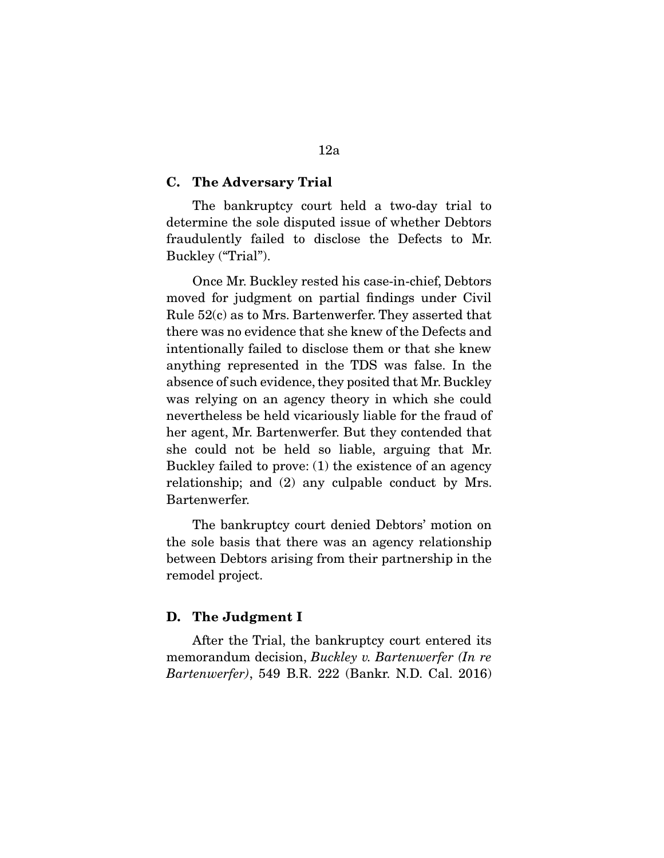#### **C. The Adversary Trial**

 The bankruptcy court held a two-day trial to determine the sole disputed issue of whether Debtors fraudulently failed to disclose the Defects to Mr. Buckley ("Trial").

 Once Mr. Buckley rested his case-in-chief, Debtors moved for judgment on partial findings under Civil Rule 52(c) as to Mrs. Bartenwerfer. They asserted that there was no evidence that she knew of the Defects and intentionally failed to disclose them or that she knew anything represented in the TDS was false. In the absence of such evidence, they posited that Mr. Buckley was relying on an agency theory in which she could nevertheless be held vicariously liable for the fraud of her agent, Mr. Bartenwerfer. But they contended that she could not be held so liable, arguing that Mr. Buckley failed to prove: (1) the existence of an agency relationship; and (2) any culpable conduct by Mrs. Bartenwerfer.

 The bankruptcy court denied Debtors' motion on the sole basis that there was an agency relationship between Debtors arising from their partnership in the remodel project.

#### **D. The Judgment I**

 After the Trial, the bankruptcy court entered its memorandum decision, *Buckley v. Bartenwerfer (In re Bartenwerfer)*, 549 B.R. 222 (Bankr. N.D. Cal. 2016)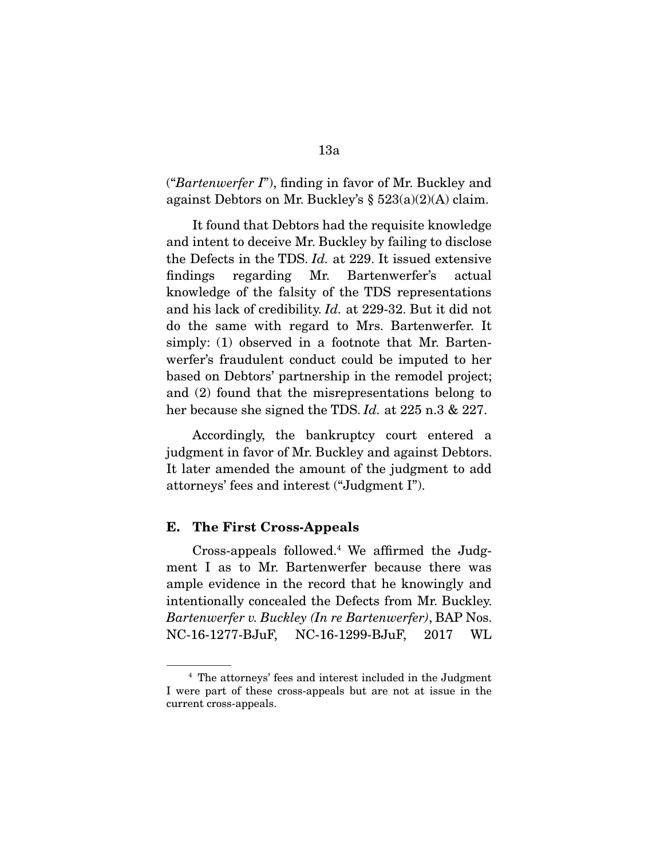("*Bartenwerfer I*"), finding in favor of Mr. Buckley and against Debtors on Mr. Buckley's § 523(a)(2)(A) claim.

 It found that Debtors had the requisite knowledge and intent to deceive Mr. Buckley by failing to disclose the Defects in the TDS. *Id.* at 229. It issued extensive findings regarding Mr. Bartenwerfer's actual knowledge of the falsity of the TDS representations and his lack of credibility. *Id.* at 229-32. But it did not do the same with regard to Mrs. Bartenwerfer. It simply: (1) observed in a footnote that Mr. Bartenwerfer's fraudulent conduct could be imputed to her based on Debtors' partnership in the remodel project; and (2) found that the misrepresentations belong to her because she signed the TDS. *Id.* at 225 n.3 & 227.

 Accordingly, the bankruptcy court entered a judgment in favor of Mr. Buckley and against Debtors. It later amended the amount of the judgment to add attorneys' fees and interest ("Judgment I").

#### **E. The First Cross-Appeals**

 Cross-appeals followed.4 We affirmed the Judgment I as to Mr. Bartenwerfer because there was ample evidence in the record that he knowingly and intentionally concealed the Defects from Mr. Buckley. *Bartenwerfer v. Buckley (In re Bartenwerfer)*, BAP Nos. NC-16-1277-BJuF, NC-16-1299-BJuF, 2017 WL

<sup>4</sup> The attorneys' fees and interest included in the Judgment I were part of these cross-appeals but are not at issue in the current cross-appeals.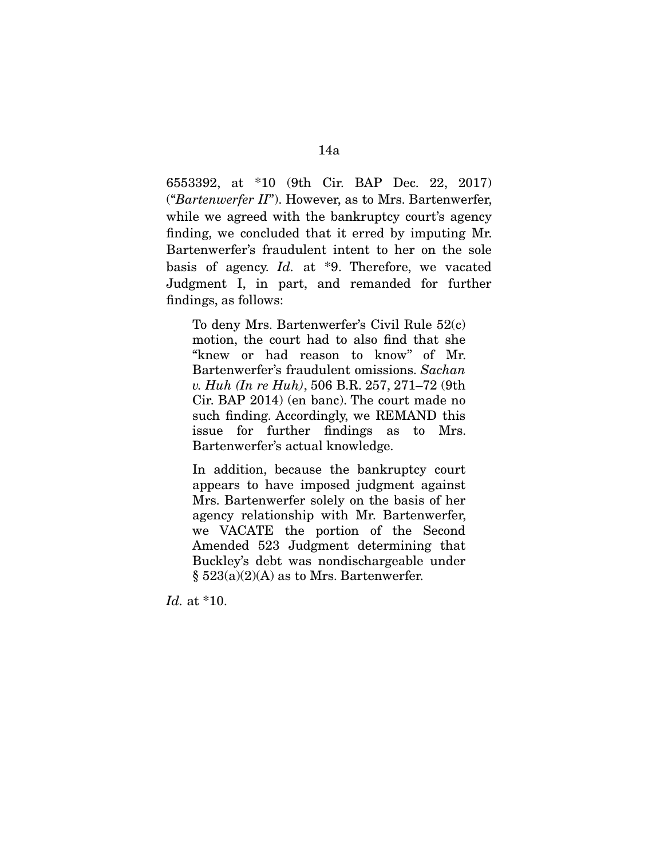6553392, at \*10 (9th Cir. BAP Dec. 22, 2017) ("*Bartenwerfer II*"). However, as to Mrs. Bartenwerfer, while we agreed with the bankruptcy court's agency finding, we concluded that it erred by imputing Mr. Bartenwerfer's fraudulent intent to her on the sole basis of agency. *Id.* at \*9. Therefore, we vacated Judgment I, in part, and remanded for further findings, as follows:

To deny Mrs. Bartenwerfer's Civil Rule 52(c) motion, the court had to also find that she "knew or had reason to know" of Mr. Bartenwerfer's fraudulent omissions. *Sachan v. Huh (In re Huh)*, 506 B.R. 257, 271–72 (9th Cir. BAP 2014) (en banc). The court made no such finding. Accordingly, we REMAND this issue for further findings as to Mrs. Bartenwerfer's actual knowledge.

In addition, because the bankruptcy court appears to have imposed judgment against Mrs. Bartenwerfer solely on the basis of her agency relationship with Mr. Bartenwerfer, we VACATE the portion of the Second Amended 523 Judgment determining that Buckley's debt was nondischargeable under  $\S$  523(a)(2)(A) as to Mrs. Bartenwerfer.

*Id.* at \*10.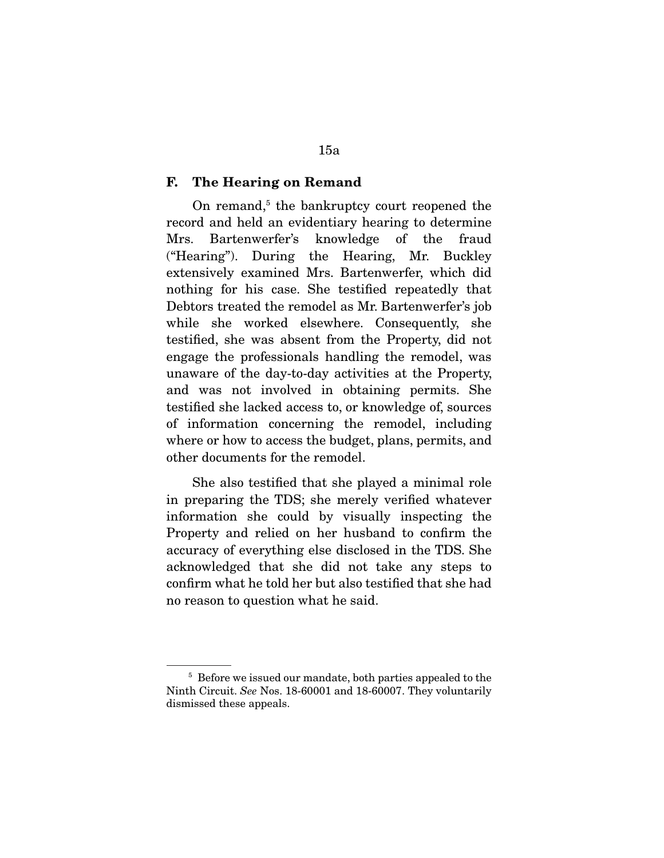#### **F. The Hearing on Remand**

On remand,<sup>5</sup> the bankruptcy court reopened the record and held an evidentiary hearing to determine Mrs. Bartenwerfer's knowledge of the fraud ("Hearing"). During the Hearing, Mr. Buckley extensively examined Mrs. Bartenwerfer, which did nothing for his case. She testified repeatedly that Debtors treated the remodel as Mr. Bartenwerfer's job while she worked elsewhere. Consequently, she testified, she was absent from the Property, did not engage the professionals handling the remodel, was unaware of the day-to-day activities at the Property, and was not involved in obtaining permits. She testified she lacked access to, or knowledge of, sources of information concerning the remodel, including where or how to access the budget, plans, permits, and other documents for the remodel.

 She also testified that she played a minimal role in preparing the TDS; she merely verified whatever information she could by visually inspecting the Property and relied on her husband to confirm the accuracy of everything else disclosed in the TDS. She acknowledged that she did not take any steps to confirm what he told her but also testified that she had no reason to question what he said.

<sup>5</sup> Before we issued our mandate, both parties appealed to the Ninth Circuit. *See* Nos. 18-60001 and 18-60007. They voluntarily dismissed these appeals.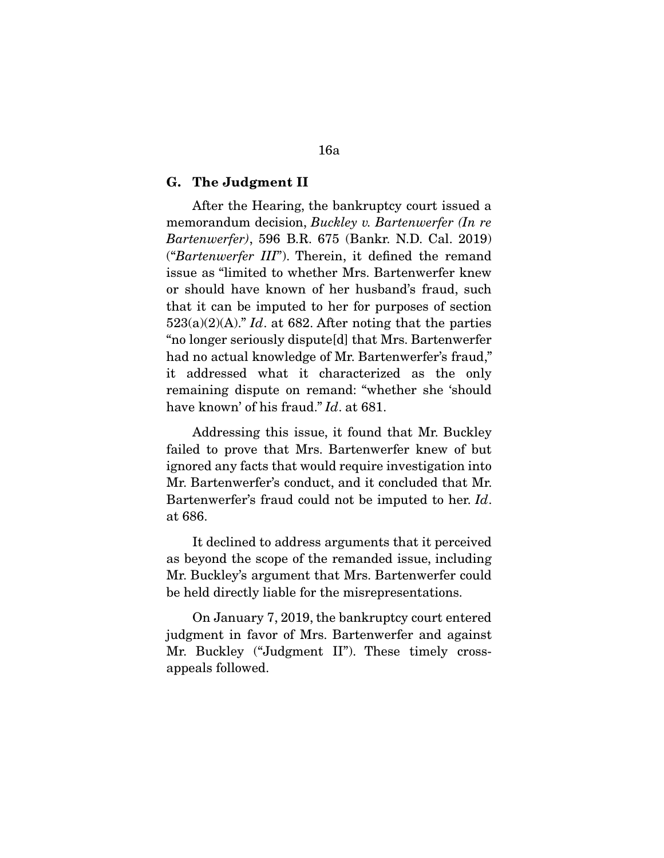#### **G. The Judgment II**

 After the Hearing, the bankruptcy court issued a memorandum decision, *Buckley v. Bartenwerfer (In re Bartenwerfer)*, 596 B.R. 675 (Bankr. N.D. Cal. 2019) ("*Bartenwerfer III*"). Therein, it defined the remand issue as "limited to whether Mrs. Bartenwerfer knew or should have known of her husband's fraud, such that it can be imputed to her for purposes of section 523(a)(2)(A)." *Id*. at 682. After noting that the parties "no longer seriously dispute[d] that Mrs. Bartenwerfer had no actual knowledge of Mr. Bartenwerfer's fraud," it addressed what it characterized as the only remaining dispute on remand: "whether she 'should have known' of his fraud." *Id*. at 681.

 Addressing this issue, it found that Mr. Buckley failed to prove that Mrs. Bartenwerfer knew of but ignored any facts that would require investigation into Mr. Bartenwerfer's conduct, and it concluded that Mr. Bartenwerfer's fraud could not be imputed to her. *Id*. at 686.

 It declined to address arguments that it perceived as beyond the scope of the remanded issue, including Mr. Buckley's argument that Mrs. Bartenwerfer could be held directly liable for the misrepresentations.

 On January 7, 2019, the bankruptcy court entered judgment in favor of Mrs. Bartenwerfer and against Mr. Buckley ("Judgment II"). These timely crossappeals followed.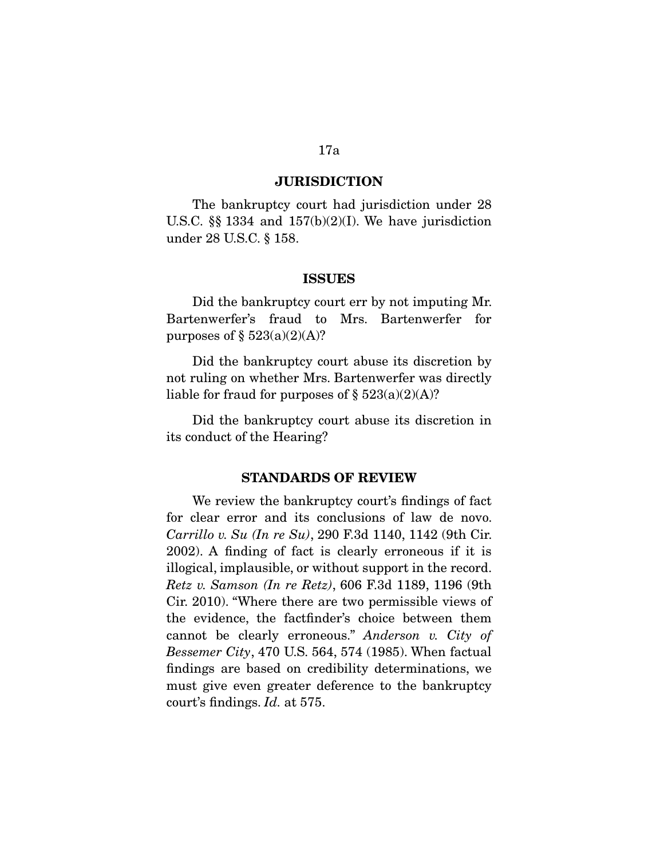#### **JURISDICTION**

 The bankruptcy court had jurisdiction under 28 U.S.C.  $\S$  1334 and 157(b)(2)(I). We have jurisdiction under 28 U.S.C. § 158.

#### **ISSUES**

 Did the bankruptcy court err by not imputing Mr. Bartenwerfer's fraud to Mrs. Bartenwerfer for purposes of  $\S$  523(a)(2)(A)?

 Did the bankruptcy court abuse its discretion by not ruling on whether Mrs. Bartenwerfer was directly liable for fraud for purposes of  $\S 523(a)(2)(A)$ ?

 Did the bankruptcy court abuse its discretion in its conduct of the Hearing?

#### **STANDARDS OF REVIEW**

 We review the bankruptcy court's findings of fact for clear error and its conclusions of law de novo. *Carrillo v. Su (In re Su)*, 290 F.3d 1140, 1142 (9th Cir. 2002). A finding of fact is clearly erroneous if it is illogical, implausible, or without support in the record. *Retz v. Samson (In re Retz)*, 606 F.3d 1189, 1196 (9th Cir. 2010). "Where there are two permissible views of the evidence, the factfinder's choice between them cannot be clearly erroneous." *Anderson v. City of Bessemer City*, 470 U.S. 564, 574 (1985). When factual findings are based on credibility determinations, we must give even greater deference to the bankruptcy court's findings. *Id.* at 575.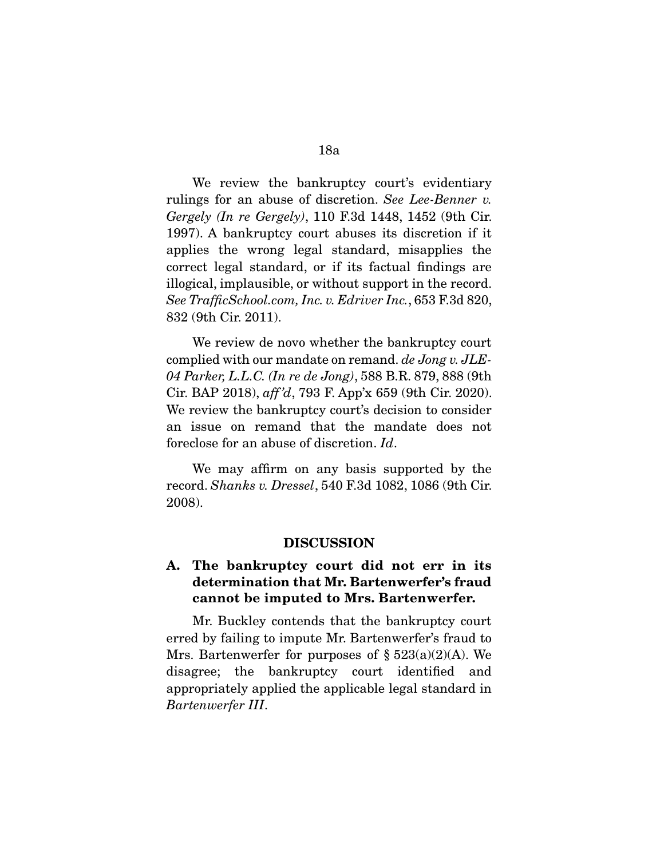We review the bankruptcy court's evidentiary rulings for an abuse of discretion. *See Lee-Benner v. Gergely (In re Gergely)*, 110 F.3d 1448, 1452 (9th Cir. 1997). A bankruptcy court abuses its discretion if it applies the wrong legal standard, misapplies the correct legal standard, or if its factual findings are illogical, implausible, or without support in the record. *See TrafficSchool.com, Inc. v. Edriver Inc.*, 653 F.3d 820, 832 (9th Cir. 2011).

 We review de novo whether the bankruptcy court complied with our mandate on remand. *de Jong v. JLE-04 Parker, L.L.C. (In re de Jong)*, 588 B.R. 879, 888 (9th Cir. BAP 2018), *aff 'd*, 793 F. App'x 659 (9th Cir. 2020). We review the bankruptcy court's decision to consider an issue on remand that the mandate does not foreclose for an abuse of discretion. *Id*.

 We may affirm on any basis supported by the record. *Shanks v. Dressel*, 540 F.3d 1082, 1086 (9th Cir. 2008).

#### **DISCUSSION**

# **A. The bankruptcy court did not err in its determination that Mr. Bartenwerfer's fraud cannot be imputed to Mrs. Bartenwerfer.**

 Mr. Buckley contends that the bankruptcy court erred by failing to impute Mr. Bartenwerfer's fraud to Mrs. Bartenwerfer for purposes of  $\S 523(a)(2)(A)$ . We disagree; the bankruptcy court identified and appropriately applied the applicable legal standard in *Bartenwerfer III*.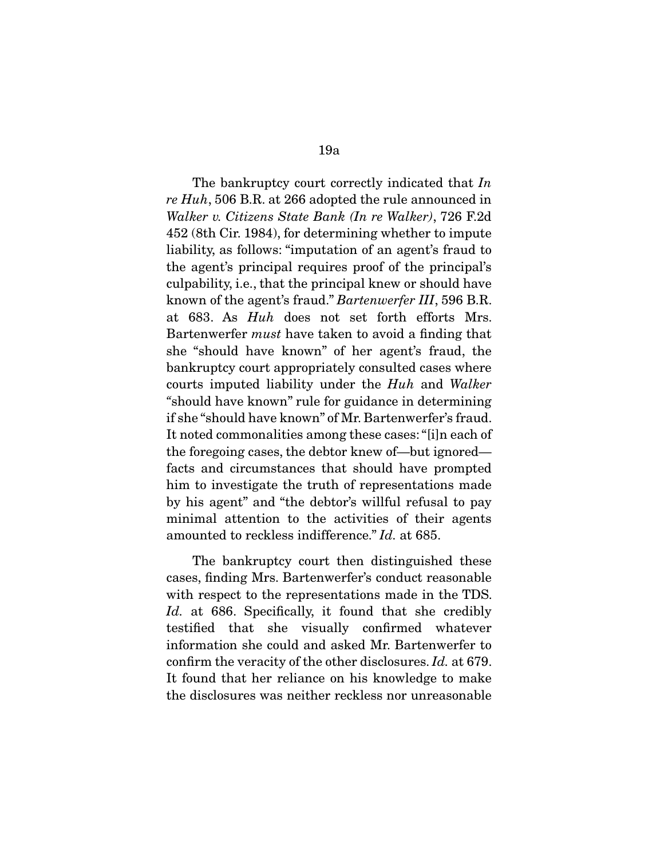The bankruptcy court correctly indicated that *In re Huh*, 506 B.R. at 266 adopted the rule announced in *Walker v. Citizens State Bank (In re Walker)*, 726 F.2d 452 (8th Cir. 1984), for determining whether to impute liability, as follows: "imputation of an agent's fraud to the agent's principal requires proof of the principal's culpability, i.e., that the principal knew or should have known of the agent's fraud." *Bartenwerfer III*, 596 B.R. at 683. As *Huh* does not set forth efforts Mrs. Bartenwerfer *must* have taken to avoid a finding that she "should have known" of her agent's fraud, the bankruptcy court appropriately consulted cases where courts imputed liability under the *Huh* and *Walker "*should have known" rule for guidance in determining if she "should have known" of Mr. Bartenwerfer's fraud. It noted commonalities among these cases: "[i]n each of the foregoing cases, the debtor knew of—but ignored facts and circumstances that should have prompted him to investigate the truth of representations made by his agent" and "the debtor's willful refusal to pay minimal attention to the activities of their agents amounted to reckless indifference." *Id.* at 685.

 The bankruptcy court then distinguished these cases, finding Mrs. Bartenwerfer's conduct reasonable with respect to the representations made in the TDS. Id. at 686. Specifically, it found that she credibly testified that she visually confirmed whatever information she could and asked Mr. Bartenwerfer to confirm the veracity of the other disclosures. *Id.* at 679. It found that her reliance on his knowledge to make the disclosures was neither reckless nor unreasonable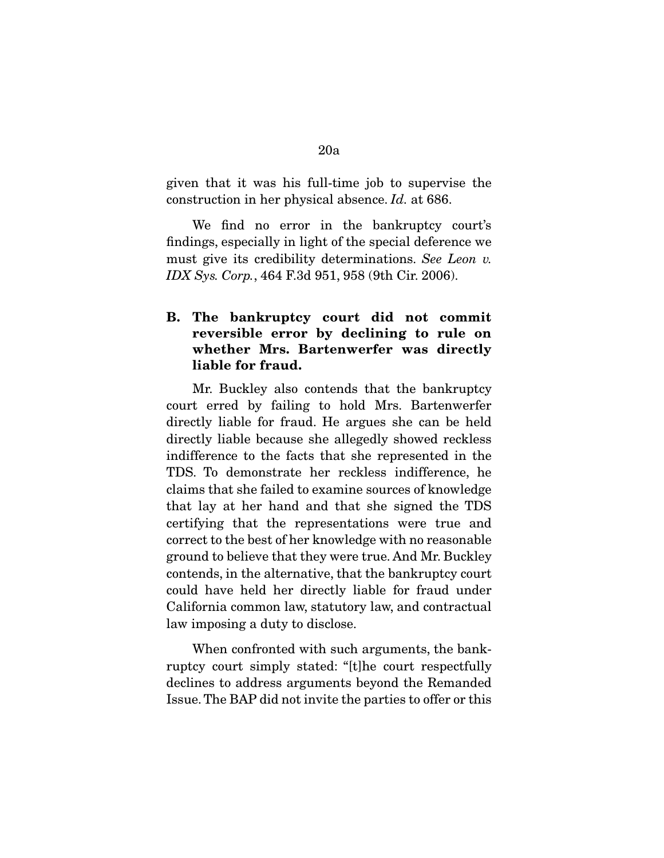given that it was his full-time job to supervise the construction in her physical absence. *Id.* at 686.

 We find no error in the bankruptcy court's findings, especially in light of the special deference we must give its credibility determinations. *See Leon v. IDX Sys. Corp.*, 464 F.3d 951, 958 (9th Cir. 2006).

# **B. The bankruptcy court did not commit reversible error by declining to rule on whether Mrs. Bartenwerfer was directly liable for fraud.**

 Mr. Buckley also contends that the bankruptcy court erred by failing to hold Mrs. Bartenwerfer directly liable for fraud. He argues she can be held directly liable because she allegedly showed reckless indifference to the facts that she represented in the TDS. To demonstrate her reckless indifference, he claims that she failed to examine sources of knowledge that lay at her hand and that she signed the TDS certifying that the representations were true and correct to the best of her knowledge with no reasonable ground to believe that they were true. And Mr. Buckley contends, in the alternative, that the bankruptcy court could have held her directly liable for fraud under California common law, statutory law, and contractual law imposing a duty to disclose.

 When confronted with such arguments, the bankruptcy court simply stated: "[t]he court respectfully declines to address arguments beyond the Remanded Issue. The BAP did not invite the parties to offer or this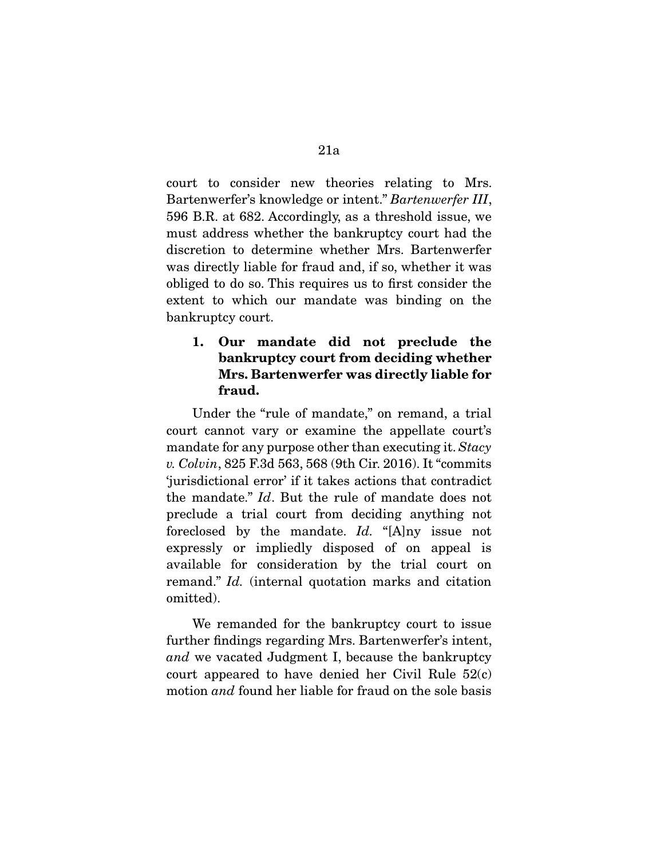court to consider new theories relating to Mrs. Bartenwerfer's knowledge or intent." *Bartenwerfer III*, 596 B.R. at 682. Accordingly, as a threshold issue, we must address whether the bankruptcy court had the discretion to determine whether Mrs. Bartenwerfer was directly liable for fraud and, if so, whether it was obliged to do so. This requires us to first consider the extent to which our mandate was binding on the bankruptcy court.

# **1. Our mandate did not preclude the bankruptcy court from deciding whether Mrs. Bartenwerfer was directly liable for fraud.**

 Under the "rule of mandate," on remand, a trial court cannot vary or examine the appellate court's mandate for any purpose other than executing it. *Stacy v. Colvin*, 825 F.3d 563, 568 (9th Cir. 2016). It "commits 'jurisdictional error' if it takes actions that contradict the mandate." *Id*. But the rule of mandate does not preclude a trial court from deciding anything not foreclosed by the mandate. *Id.* "[A]ny issue not expressly or impliedly disposed of on appeal is available for consideration by the trial court on remand." *Id.* (internal quotation marks and citation omitted).

 We remanded for the bankruptcy court to issue further findings regarding Mrs. Bartenwerfer's intent, *and* we vacated Judgment I, because the bankruptcy court appeared to have denied her Civil Rule 52(c) motion *and* found her liable for fraud on the sole basis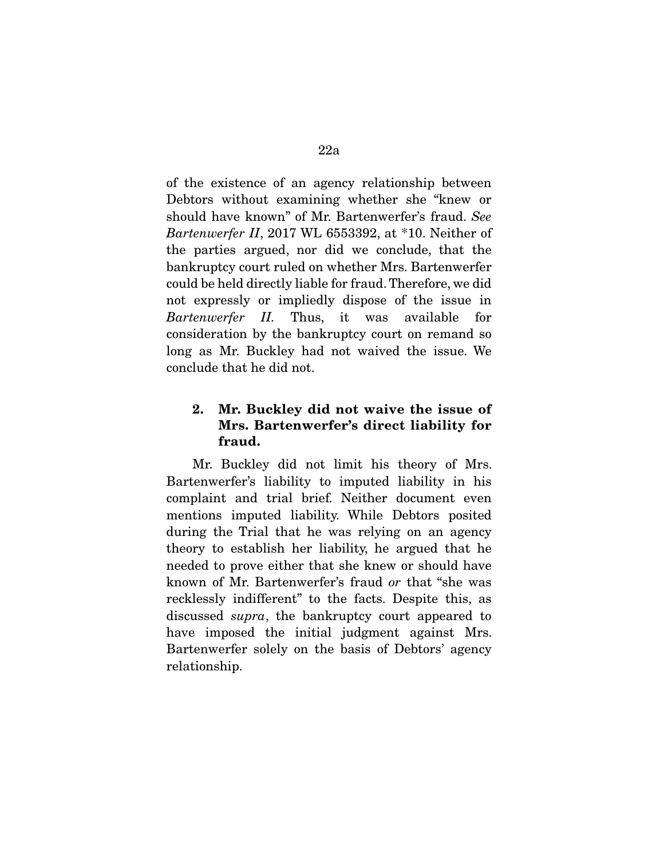of the existence of an agency relationship between Debtors without examining whether she "knew or should have known" of Mr. Bartenwerfer's fraud. *See Bartenwerfer II*, 2017 WL 6553392, at \*10. Neither of the parties argued, nor did we conclude, that the bankruptcy court ruled on whether Mrs. Bartenwerfer could be held directly liable for fraud. Therefore, we did not expressly or impliedly dispose of the issue in *Bartenwerfer II.* Thus, it was available for consideration by the bankruptcy court on remand so long as Mr. Buckley had not waived the issue. We conclude that he did not.

# **2. Mr. Buckley did not waive the issue of Mrs. Bartenwerfer's direct liability for fraud.**

 Mr. Buckley did not limit his theory of Mrs. Bartenwerfer's liability to imputed liability in his complaint and trial brief. Neither document even mentions imputed liability. While Debtors posited during the Trial that he was relying on an agency theory to establish her liability, he argued that he needed to prove either that she knew or should have known of Mr. Bartenwerfer's fraud *or* that "she was recklessly indifferent" to the facts. Despite this, as discussed *supra*, the bankruptcy court appeared to have imposed the initial judgment against Mrs. Bartenwerfer solely on the basis of Debtors' agency relationship.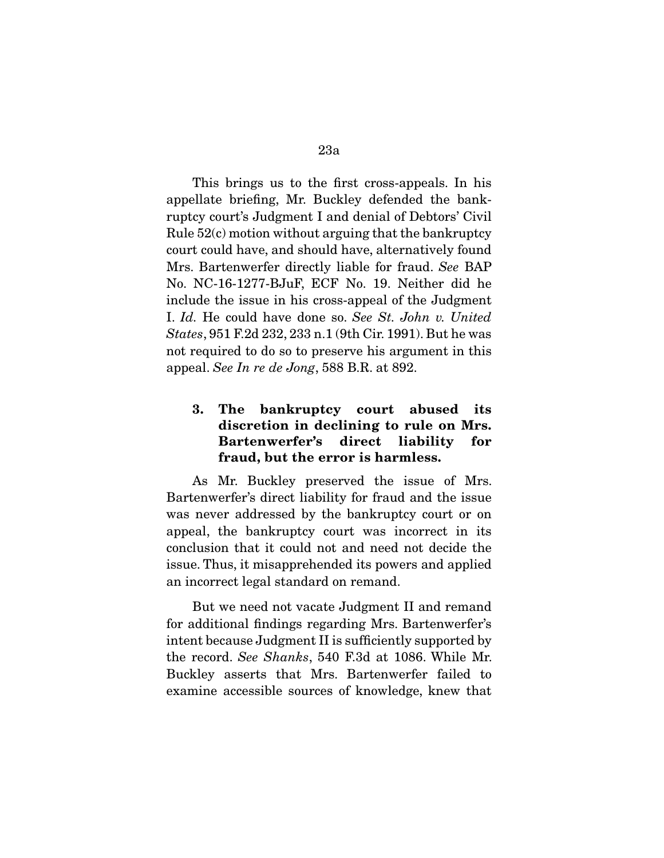This brings us to the first cross-appeals. In his appellate briefing, Mr. Buckley defended the bankruptcy court's Judgment I and denial of Debtors' Civil Rule 52(c) motion without arguing that the bankruptcy court could have, and should have, alternatively found Mrs. Bartenwerfer directly liable for fraud. *See* BAP No. NC-16-1277-BJuF, ECF No. 19. Neither did he include the issue in his cross-appeal of the Judgment I. *Id.* He could have done so. *See St. John v. United States*, 951 F.2d 232, 233 n.1 (9th Cir. 1991). But he was not required to do so to preserve his argument in this appeal. *See In re de Jong*, 588 B.R. at 892.

# **3. The bankruptcy court abused its discretion in declining to rule on Mrs. Bartenwerfer's direct liability for fraud, but the error is harmless.**

 As Mr. Buckley preserved the issue of Mrs. Bartenwerfer's direct liability for fraud and the issue was never addressed by the bankruptcy court or on appeal, the bankruptcy court was incorrect in its conclusion that it could not and need not decide the issue. Thus, it misapprehended its powers and applied an incorrect legal standard on remand.

 But we need not vacate Judgment II and remand for additional findings regarding Mrs. Bartenwerfer's intent because Judgment II is sufficiently supported by the record. *See Shanks*, 540 F.3d at 1086. While Mr. Buckley asserts that Mrs. Bartenwerfer failed to examine accessible sources of knowledge, knew that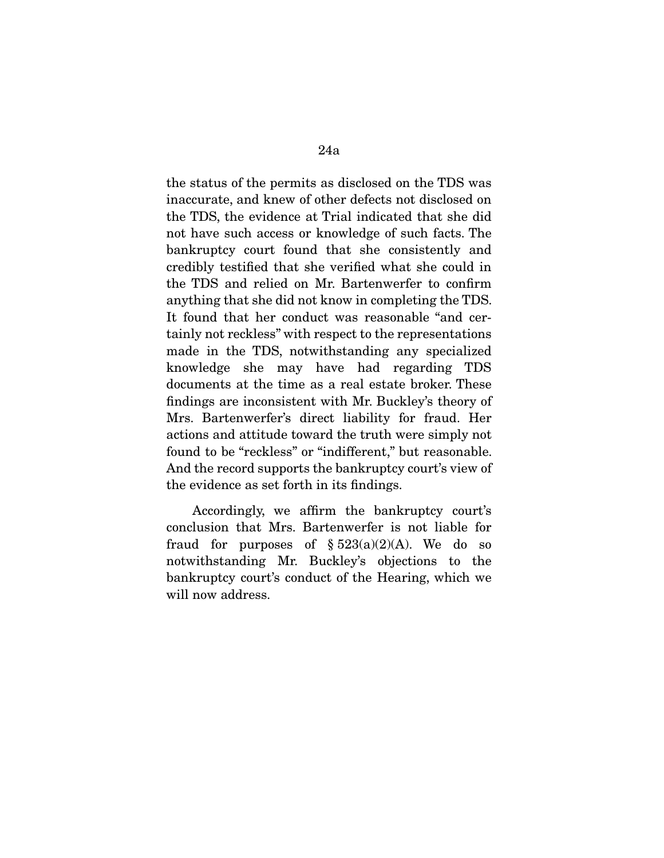the status of the permits as disclosed on the TDS was inaccurate, and knew of other defects not disclosed on the TDS, the evidence at Trial indicated that she did not have such access or knowledge of such facts. The bankruptcy court found that she consistently and credibly testified that she verified what she could in the TDS and relied on Mr. Bartenwerfer to confirm anything that she did not know in completing the TDS. It found that her conduct was reasonable "and certainly not reckless" with respect to the representations made in the TDS, notwithstanding any specialized knowledge she may have had regarding TDS documents at the time as a real estate broker. These findings are inconsistent with Mr. Buckley's theory of Mrs. Bartenwerfer's direct liability for fraud. Her actions and attitude toward the truth were simply not found to be "reckless" or "indifferent," but reasonable. And the record supports the bankruptcy court's view of the evidence as set forth in its findings.

 Accordingly, we affirm the bankruptcy court's conclusion that Mrs. Bartenwerfer is not liable for fraud for purposes of  $\S 523(a)(2)(A)$ . We do so notwithstanding Mr. Buckley's objections to the bankruptcy court's conduct of the Hearing, which we will now address.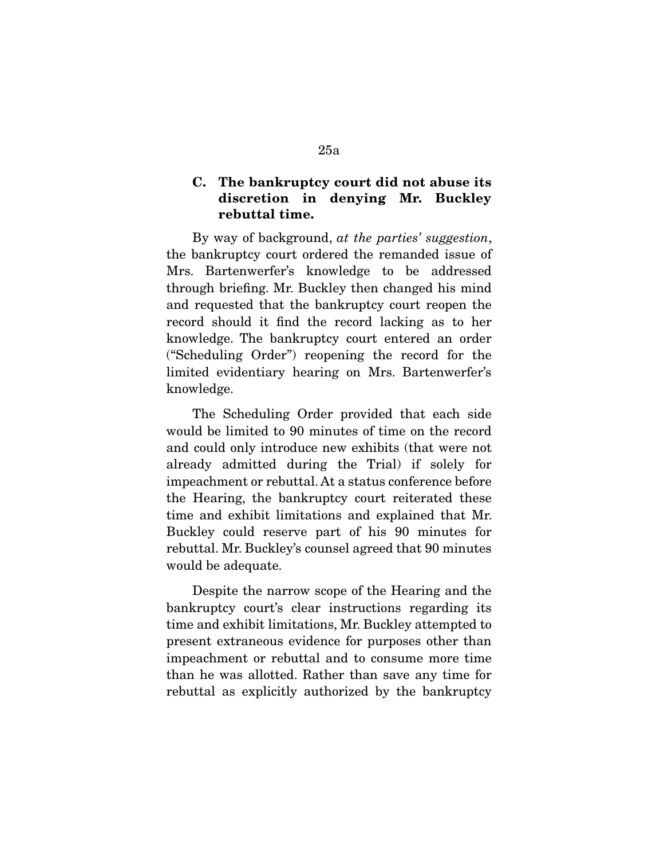# **C. The bankruptcy court did not abuse its discretion in denying Mr. Buckley rebuttal time.**

 By way of background, *at the parties' suggestion*, the bankruptcy court ordered the remanded issue of Mrs. Bartenwerfer's knowledge to be addressed through briefing. Mr. Buckley then changed his mind and requested that the bankruptcy court reopen the record should it find the record lacking as to her knowledge. The bankruptcy court entered an order ("Scheduling Order") reopening the record for the limited evidentiary hearing on Mrs. Bartenwerfer's knowledge.

 The Scheduling Order provided that each side would be limited to 90 minutes of time on the record and could only introduce new exhibits (that were not already admitted during the Trial) if solely for impeachment or rebuttal. At a status conference before the Hearing, the bankruptcy court reiterated these time and exhibit limitations and explained that Mr. Buckley could reserve part of his 90 minutes for rebuttal. Mr. Buckley's counsel agreed that 90 minutes would be adequate.

 Despite the narrow scope of the Hearing and the bankruptcy court's clear instructions regarding its time and exhibit limitations, Mr. Buckley attempted to present extraneous evidence for purposes other than impeachment or rebuttal and to consume more time than he was allotted. Rather than save any time for rebuttal as explicitly authorized by the bankruptcy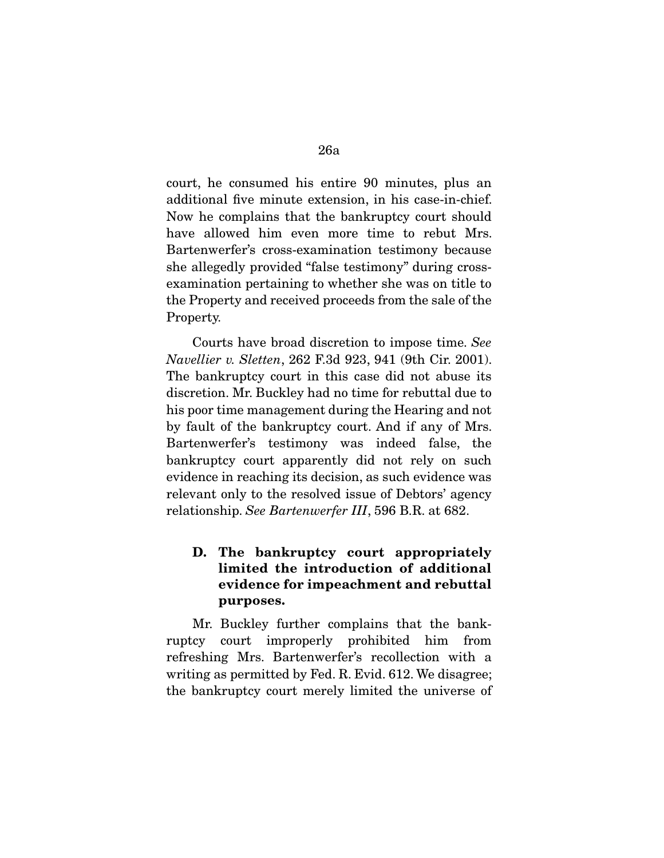court, he consumed his entire 90 minutes, plus an additional five minute extension, in his case-in-chief. Now he complains that the bankruptcy court should have allowed him even more time to rebut Mrs. Bartenwerfer's cross-examination testimony because she allegedly provided "false testimony" during crossexamination pertaining to whether she was on title to the Property and received proceeds from the sale of the Property.

 Courts have broad discretion to impose time. *See Navellier v. Sletten*, 262 F.3d 923, 941 (9th Cir. 2001). The bankruptcy court in this case did not abuse its discretion. Mr. Buckley had no time for rebuttal due to his poor time management during the Hearing and not by fault of the bankruptcy court. And if any of Mrs. Bartenwerfer's testimony was indeed false, the bankruptcy court apparently did not rely on such evidence in reaching its decision, as such evidence was relevant only to the resolved issue of Debtors' agency relationship. *See Bartenwerfer III*, 596 B.R. at 682.

# **D. The bankruptcy court appropriately limited the introduction of additional evidence for impeachment and rebuttal purposes.**

 Mr. Buckley further complains that the bankruptcy court improperly prohibited him from refreshing Mrs. Bartenwerfer's recollection with a writing as permitted by Fed. R. Evid. 612. We disagree; the bankruptcy court merely limited the universe of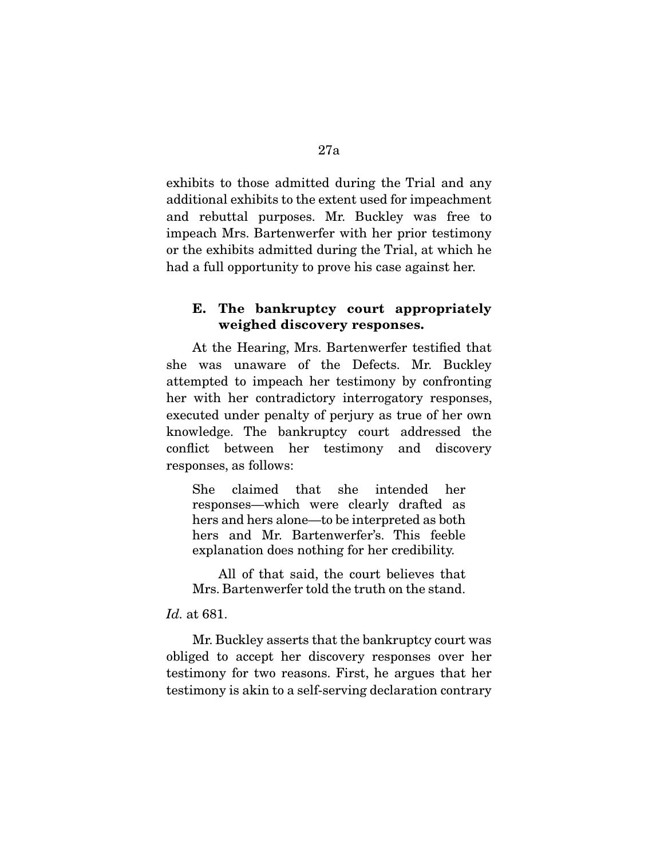exhibits to those admitted during the Trial and any additional exhibits to the extent used for impeachment and rebuttal purposes. Mr. Buckley was free to impeach Mrs. Bartenwerfer with her prior testimony or the exhibits admitted during the Trial, at which he had a full opportunity to prove his case against her.

## **E. The bankruptcy court appropriately weighed discovery responses.**

 At the Hearing, Mrs. Bartenwerfer testified that she was unaware of the Defects. Mr. Buckley attempted to impeach her testimony by confronting her with her contradictory interrogatory responses, executed under penalty of perjury as true of her own knowledge. The bankruptcy court addressed the conflict between her testimony and discovery responses, as follows:

She claimed that she intended her responses—which were clearly drafted as hers and hers alone—to be interpreted as both hers and Mr. Bartenwerfer's. This feeble explanation does nothing for her credibility.

 All of that said, the court believes that Mrs. Bartenwerfer told the truth on the stand.

#### *Id.* at 681.

 Mr. Buckley asserts that the bankruptcy court was obliged to accept her discovery responses over her testimony for two reasons. First, he argues that her testimony is akin to a self-serving declaration contrary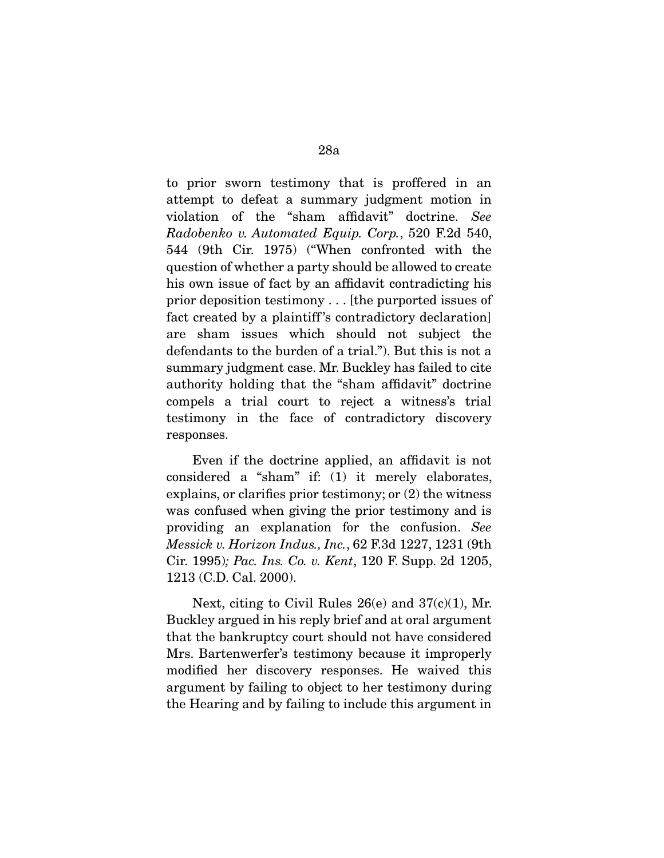to prior sworn testimony that is proffered in an attempt to defeat a summary judgment motion in violation of the "sham affidavit" doctrine. *See Radobenko v. Automated Equip. Corp.*, 520 F.2d 540, 544 (9th Cir. 1975) ("When confronted with the question of whether a party should be allowed to create his own issue of fact by an affidavit contradicting his prior deposition testimony . . . [the purported issues of fact created by a plaintiff 's contradictory declaration] are sham issues which should not subject the defendants to the burden of a trial."). But this is not a summary judgment case. Mr. Buckley has failed to cite authority holding that the "sham affidavit" doctrine compels a trial court to reject a witness's trial testimony in the face of contradictory discovery responses.

 Even if the doctrine applied, an affidavit is not considered a "sham" if: (1) it merely elaborates, explains, or clarifies prior testimony; or (2) the witness was confused when giving the prior testimony and is providing an explanation for the confusion. *See Messick v. Horizon Indus., Inc.*, 62 F.3d 1227, 1231 (9th Cir. 1995)*; Pac. Ins. Co. v. Kent*, 120 F. Supp. 2d 1205, 1213 (C.D. Cal. 2000).

 Next, citing to Civil Rules 26(e) and 37(c)(1), Mr. Buckley argued in his reply brief and at oral argument that the bankruptcy court should not have considered Mrs. Bartenwerfer's testimony because it improperly modified her discovery responses. He waived this argument by failing to object to her testimony during the Hearing and by failing to include this argument in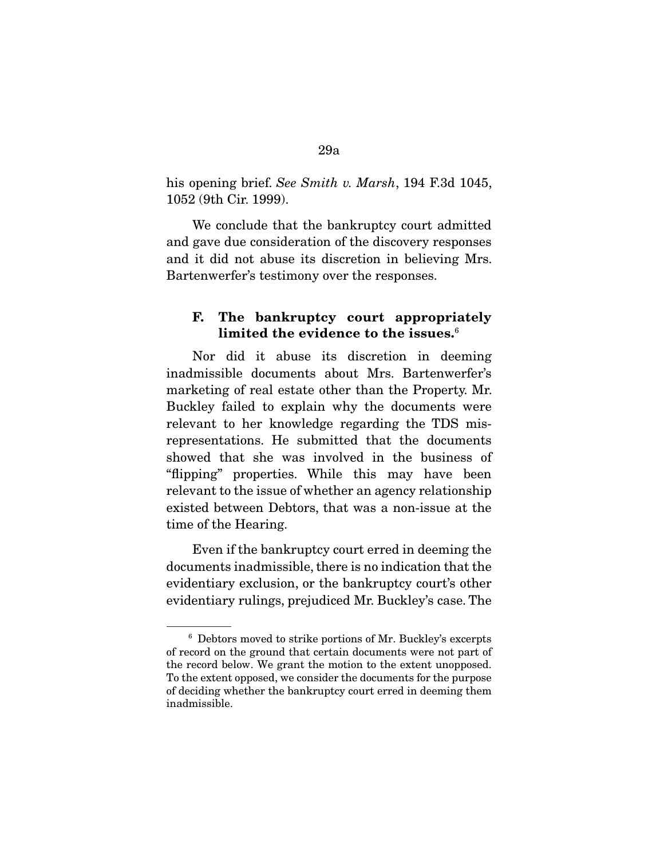his opening brief. *See Smith v. Marsh*, 194 F.3d 1045, 1052 (9th Cir. 1999).

 We conclude that the bankruptcy court admitted and gave due consideration of the discovery responses and it did not abuse its discretion in believing Mrs. Bartenwerfer's testimony over the responses.

# **F. The bankruptcy court appropriately limited the evidence to the issues.**<sup>6</sup>

 Nor did it abuse its discretion in deeming inadmissible documents about Mrs. Bartenwerfer's marketing of real estate other than the Property. Mr. Buckley failed to explain why the documents were relevant to her knowledge regarding the TDS misrepresentations. He submitted that the documents showed that she was involved in the business of "flipping" properties. While this may have been relevant to the issue of whether an agency relationship existed between Debtors, that was a non-issue at the time of the Hearing.

 Even if the bankruptcy court erred in deeming the documents inadmissible, there is no indication that the evidentiary exclusion, or the bankruptcy court's other evidentiary rulings, prejudiced Mr. Buckley's case. The

<sup>6</sup> Debtors moved to strike portions of Mr. Buckley's excerpts of record on the ground that certain documents were not part of the record below. We grant the motion to the extent unopposed. To the extent opposed, we consider the documents for the purpose of deciding whether the bankruptcy court erred in deeming them inadmissible.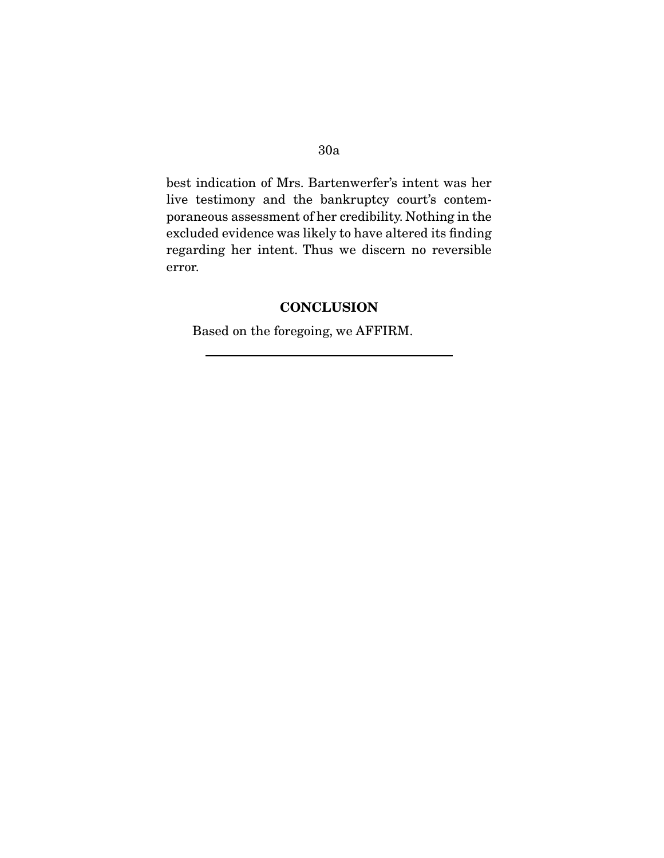best indication of Mrs. Bartenwerfer's intent was her live testimony and the bankruptcy court's contemporaneous assessment of her credibility. Nothing in the excluded evidence was likely to have altered its finding regarding her intent. Thus we discern no reversible error.

# **CONCLUSION**

Based on the foregoing, we AFFIRM.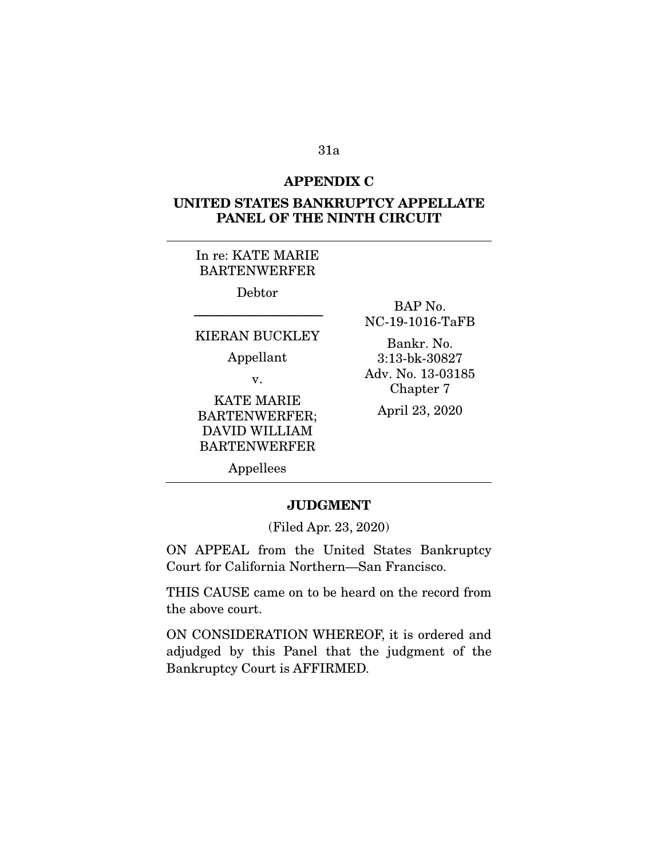#### **APPENDIX C**

# **UNITED STATES BANKRUPTCY APPELLATE PANEL OF THE NINTH CIRCUIT**

# In re: KATE MARIE BARTENWERFER

Debtor

# ----------------------------------------------------------------------- KIERAN BUCKLEY

Appellant

v.

KATE MARIE BARTENWERFER; DAVID WILLIAM BARTENWERFER

BAP No. NC-19-1016-TaFB

Bankr. No. 3:13-bk-30827 Adv. No. 13-03185 Chapter 7

April 23, 2020

Appellees

#### **JUDGMENT**

(Filed Apr. 23, 2020)

ON APPEAL from the United States Bankruptcy Court for California Northern—San Francisco.

THIS CAUSE came on to be heard on the record from the above court.

ON CONSIDERATION WHEREOF, it is ordered and adjudged by this Panel that the judgment of the Bankruptcy Court is AFFIRMED.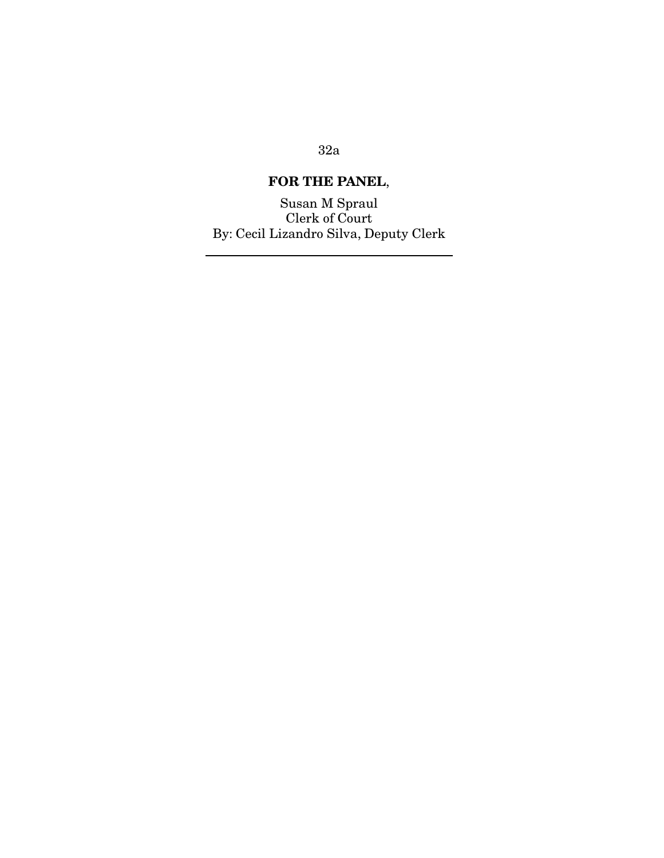# **FOR THE PANEL**,

Susan M Spraul Clerk of Court By: Cecil Lizandro Silva, Deputy Clerk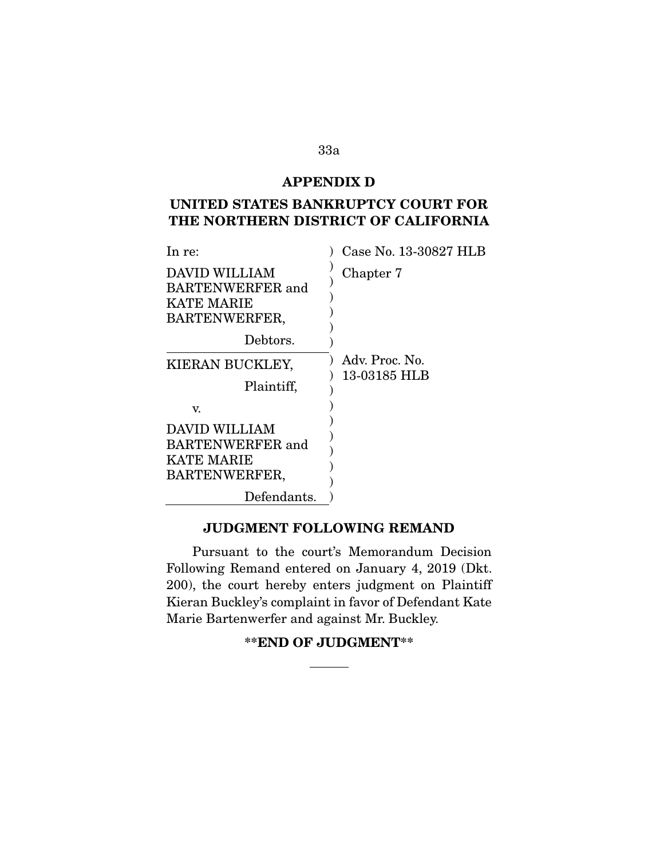## **APPENDIX D**

# **UNITED STATES BANKRUPTCY COURT FOR THE NORTHERN DISTRICT OF CALIFORNIA**

| In re:                                                                  | Case No. 13-30827 HLB |
|-------------------------------------------------------------------------|-----------------------|
| DAVID WILLIAM<br><b>BARTENWERFER</b> and<br>KATE MARIE<br>BARTENWERFER, | Chapter 7             |
| Debtors.                                                                |                       |
| KIERAN BUCKLEY,                                                         | Adv. Proc. No.        |
| Plaintiff,                                                              | 13-03185 HLB          |
| V.                                                                      |                       |
| DAVID WILLIAM<br><b>BARTENWERFER</b> and                                |                       |
| <b>KATE MARIE</b>                                                       |                       |
| BARTENWERFER,                                                           |                       |
| Defendants.                                                             |                       |

## **JUDGMENT FOLLOWING REMAND**

 Pursuant to the court's Memorandum Decision Following Remand entered on January 4, 2019 (Dkt. 200), the court hereby enters judgment on Plaintiff Kieran Buckley's complaint in favor of Defendant Kate Marie Bartenwerfer and against Mr. Buckley.

**\*\*END OF JUDGMENT\*\***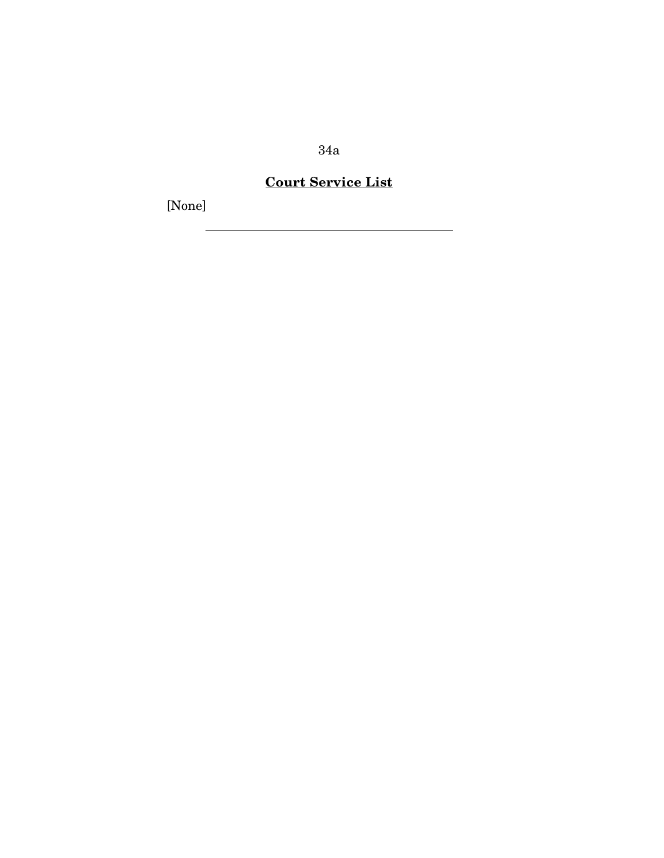# **Court Service List**

[None]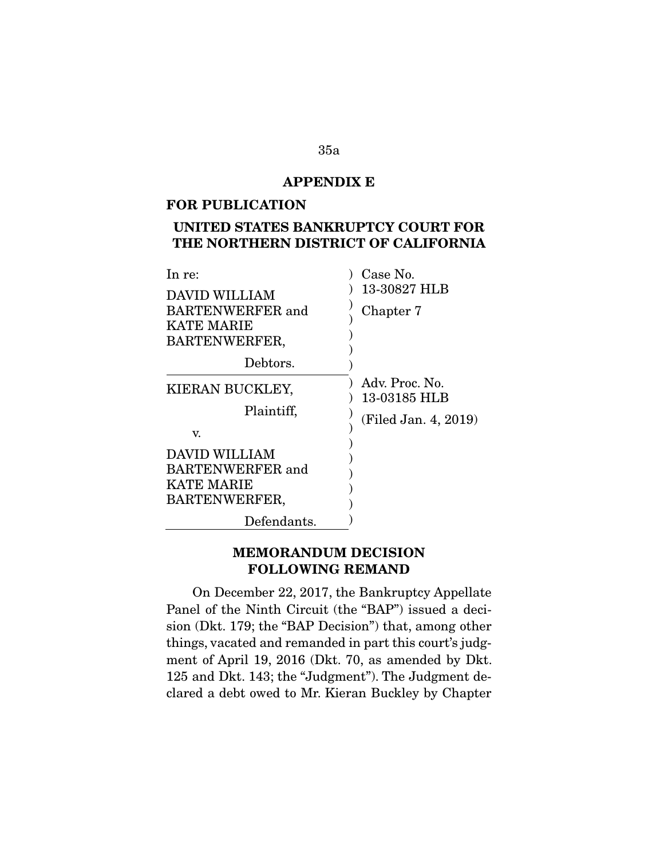## **APPENDIX E**

#### **FOR PUBLICATION**

# **UNITED STATES BANKRUPTCY COURT FOR THE NORTHERN DISTRICT OF CALIFORNIA**

| In re:                  | Case No.             |
|-------------------------|----------------------|
| DAVID WILLIAM           | 13-30827 HLB         |
| <b>BARTENWERFER</b> and | Chapter 7            |
| <b>KATE MARIE</b>       |                      |
| BARTENWERFER,           |                      |
| Debtors.                |                      |
| KIERAN BUCKLEY,         | Adv. Proc. No.       |
|                         | 13-03185 HLB         |
| Plaintiff,              | (Filed Jan. 4, 2019) |
| V.                      |                      |
| <b>DAVID WILLIAM</b>    |                      |
| <b>BARTENWERFER</b> and |                      |
| <b>KATE MARIE</b>       |                      |
| BARTENWERFER,           |                      |
| Defendants.             |                      |

## **MEMORANDUM DECISION FOLLOWING REMAND**

 On December 22, 2017, the Bankruptcy Appellate Panel of the Ninth Circuit (the "BAP") issued a decision (Dkt. 179; the "BAP Decision") that, among other things, vacated and remanded in part this court's judgment of April 19, 2016 (Dkt. 70, as amended by Dkt. 125 and Dkt. 143; the "Judgment"). The Judgment declared a debt owed to Mr. Kieran Buckley by Chapter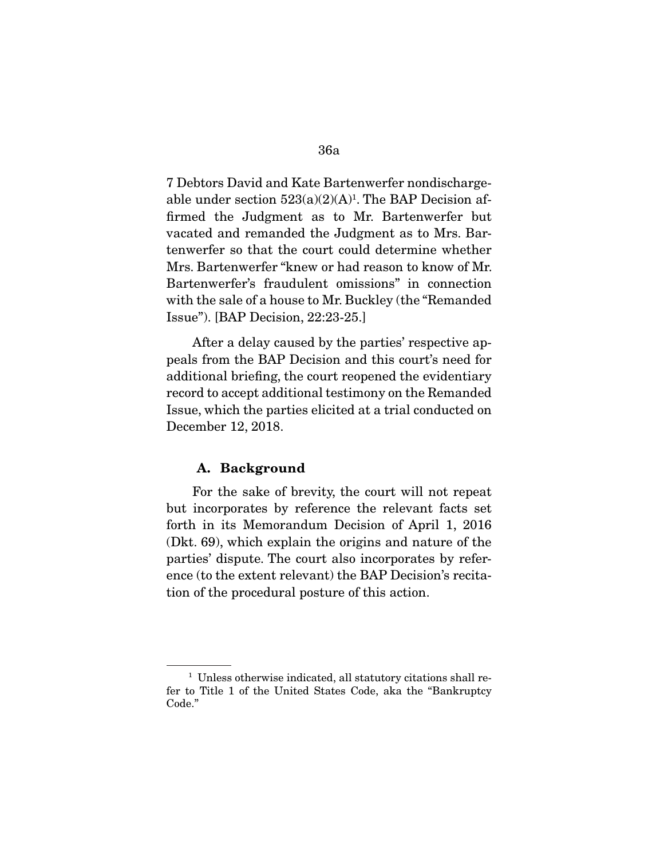7 Debtors David and Kate Bartenwerfer nondischargeable under section  $523(a)(2)(A)^1$ . The BAP Decision affirmed the Judgment as to Mr. Bartenwerfer but vacated and remanded the Judgment as to Mrs. Bartenwerfer so that the court could determine whether Mrs. Bartenwerfer "knew or had reason to know of Mr. Bartenwerfer's fraudulent omissions" in connection with the sale of a house to Mr. Buckley (the "Remanded Issue"). [BAP Decision, 22:23-25.]

 After a delay caused by the parties' respective appeals from the BAP Decision and this court's need for additional briefing, the court reopened the evidentiary record to accept additional testimony on the Remanded Issue, which the parties elicited at a trial conducted on December 12, 2018.

#### **A. Background**

 For the sake of brevity, the court will not repeat but incorporates by reference the relevant facts set forth in its Memorandum Decision of April 1, 2016 (Dkt. 69), which explain the origins and nature of the parties' dispute. The court also incorporates by reference (to the extent relevant) the BAP Decision's recitation of the procedural posture of this action.

<sup>&</sup>lt;sup>1</sup> Unless otherwise indicated, all statutory citations shall refer to Title 1 of the United States Code, aka the "Bankruptcy Code."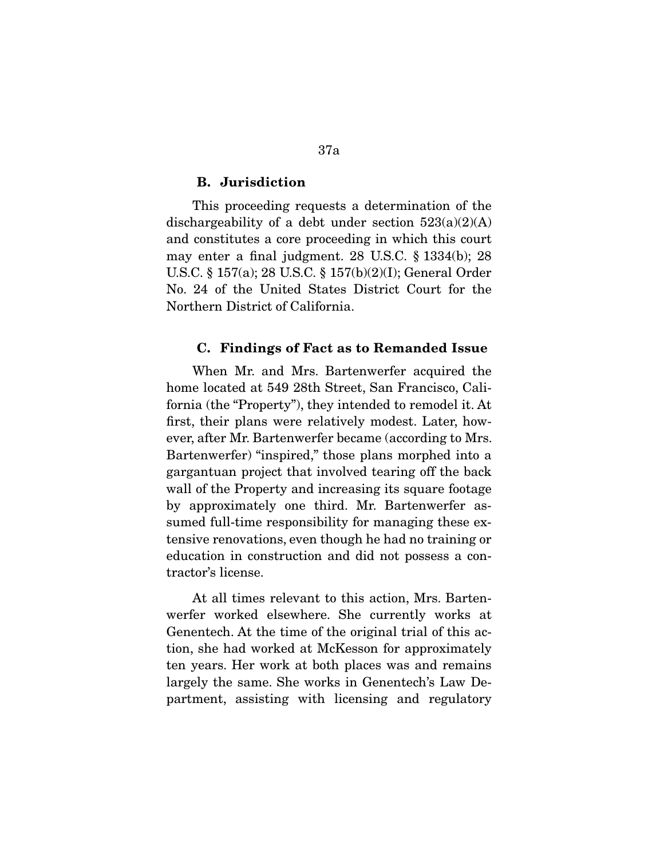#### **B. Jurisdiction**

 This proceeding requests a determination of the dischargeability of a debt under section  $523(a)(2)(A)$ and constitutes a core proceeding in which this court may enter a final judgment. 28 U.S.C. § 1334(b); 28 U.S.C. § 157(a); 28 U.S.C. § 157(b)(2)(I); General Order No. 24 of the United States District Court for the Northern District of California.

#### **C. Findings of Fact as to Remanded Issue**

 When Mr. and Mrs. Bartenwerfer acquired the home located at 549 28th Street, San Francisco, California (the "Property"), they intended to remodel it. At first, their plans were relatively modest. Later, however, after Mr. Bartenwerfer became (according to Mrs. Bartenwerfer) "inspired," those plans morphed into a gargantuan project that involved tearing off the back wall of the Property and increasing its square footage by approximately one third. Mr. Bartenwerfer assumed full-time responsibility for managing these extensive renovations, even though he had no training or education in construction and did not possess a contractor's license.

 At all times relevant to this action, Mrs. Bartenwerfer worked elsewhere. She currently works at Genentech. At the time of the original trial of this action, she had worked at McKesson for approximately ten years. Her work at both places was and remains largely the same. She works in Genentech's Law Department, assisting with licensing and regulatory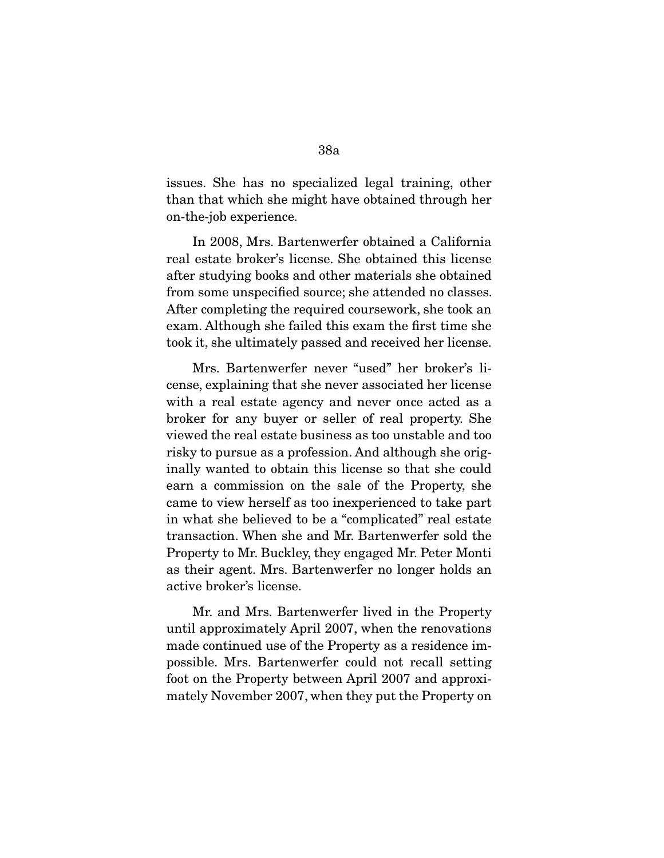issues. She has no specialized legal training, other than that which she might have obtained through her on-the-job experience.

 In 2008, Mrs. Bartenwerfer obtained a California real estate broker's license. She obtained this license after studying books and other materials she obtained from some unspecified source; she attended no classes. After completing the required coursework, she took an exam. Although she failed this exam the first time she took it, she ultimately passed and received her license.

 Mrs. Bartenwerfer never "used" her broker's license, explaining that she never associated her license with a real estate agency and never once acted as a broker for any buyer or seller of real property. She viewed the real estate business as too unstable and too risky to pursue as a profession. And although she originally wanted to obtain this license so that she could earn a commission on the sale of the Property, she came to view herself as too inexperienced to take part in what she believed to be a "complicated" real estate transaction. When she and Mr. Bartenwerfer sold the Property to Mr. Buckley, they engaged Mr. Peter Monti as their agent. Mrs. Bartenwerfer no longer holds an active broker's license.

 Mr. and Mrs. Bartenwerfer lived in the Property until approximately April 2007, when the renovations made continued use of the Property as a residence impossible. Mrs. Bartenwerfer could not recall setting foot on the Property between April 2007 and approximately November 2007, when they put the Property on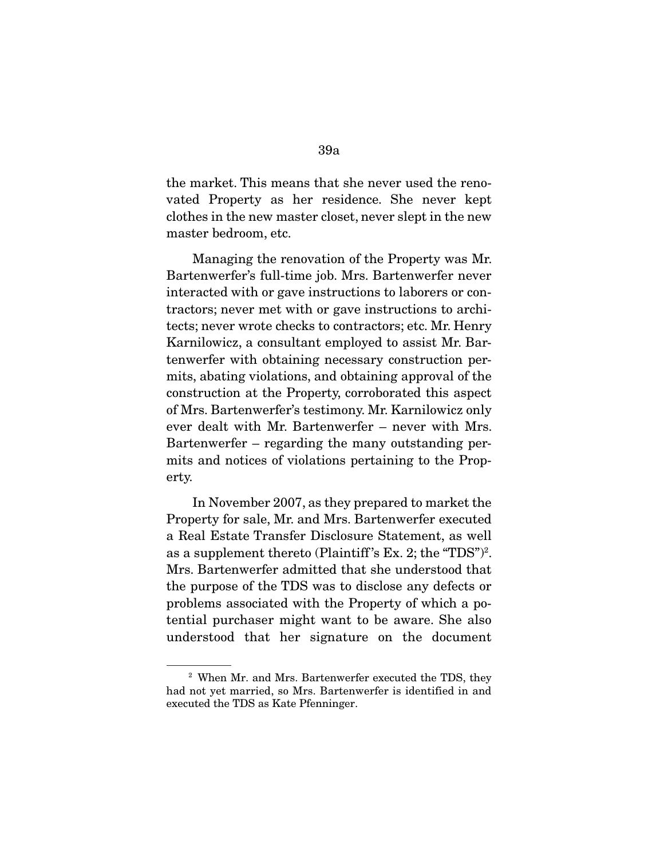the market. This means that she never used the renovated Property as her residence. She never kept clothes in the new master closet, never slept in the new master bedroom, etc.

 Managing the renovation of the Property was Mr. Bartenwerfer's full-time job. Mrs. Bartenwerfer never interacted with or gave instructions to laborers or contractors; never met with or gave instructions to architects; never wrote checks to contractors; etc. Mr. Henry Karnilowicz, a consultant employed to assist Mr. Bartenwerfer with obtaining necessary construction permits, abating violations, and obtaining approval of the construction at the Property, corroborated this aspect of Mrs. Bartenwerfer's testimony. Mr. Karnilowicz only ever dealt with Mr. Bartenwerfer – never with Mrs. Bartenwerfer – regarding the many outstanding permits and notices of violations pertaining to the Property.

 In November 2007, as they prepared to market the Property for sale, Mr. and Mrs. Bartenwerfer executed a Real Estate Transfer Disclosure Statement, as well as a supplement thereto (Plaintiff 's Ex. 2; the "TDS")2 . Mrs. Bartenwerfer admitted that she understood that the purpose of the TDS was to disclose any defects or problems associated with the Property of which a potential purchaser might want to be aware. She also understood that her signature on the document

<sup>2</sup> When Mr. and Mrs. Bartenwerfer executed the TDS, they had not yet married, so Mrs. Bartenwerfer is identified in and executed the TDS as Kate Pfenninger.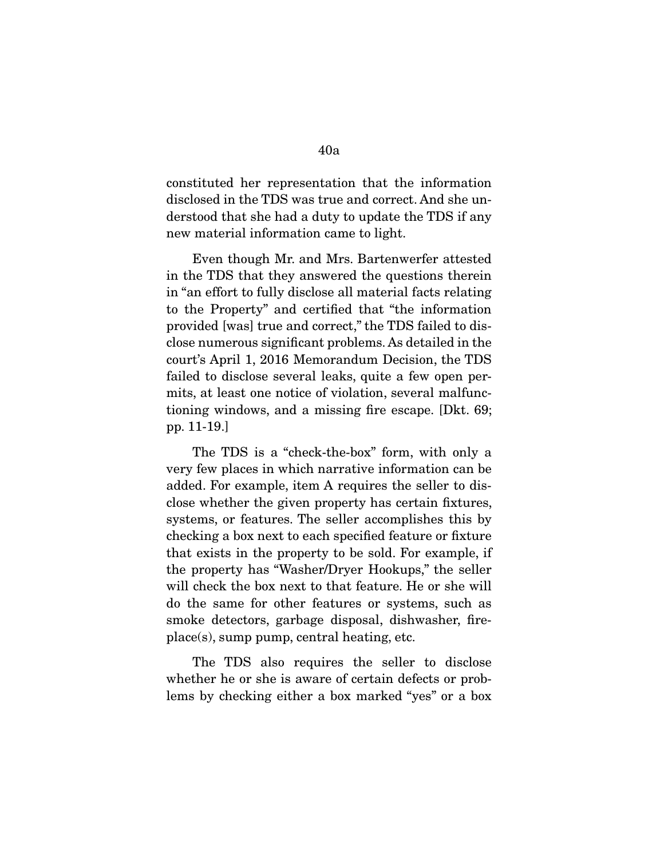constituted her representation that the information disclosed in the TDS was true and correct. And she understood that she had a duty to update the TDS if any new material information came to light.

 Even though Mr. and Mrs. Bartenwerfer attested in the TDS that they answered the questions therein in "an effort to fully disclose all material facts relating to the Property" and certified that "the information provided [was] true and correct," the TDS failed to disclose numerous significant problems. As detailed in the court's April 1, 2016 Memorandum Decision, the TDS failed to disclose several leaks, quite a few open permits, at least one notice of violation, several malfunctioning windows, and a missing fire escape. [Dkt. 69; pp. 11-19.]

 The TDS is a "check-the-box" form, with only a very few places in which narrative information can be added. For example, item A requires the seller to disclose whether the given property has certain fixtures, systems, or features. The seller accomplishes this by checking a box next to each specified feature or fixture that exists in the property to be sold. For example, if the property has "Washer/Dryer Hookups," the seller will check the box next to that feature. He or she will do the same for other features or systems, such as smoke detectors, garbage disposal, dishwasher, fireplace(s), sump pump, central heating, etc.

 The TDS also requires the seller to disclose whether he or she is aware of certain defects or problems by checking either a box marked "yes" or a box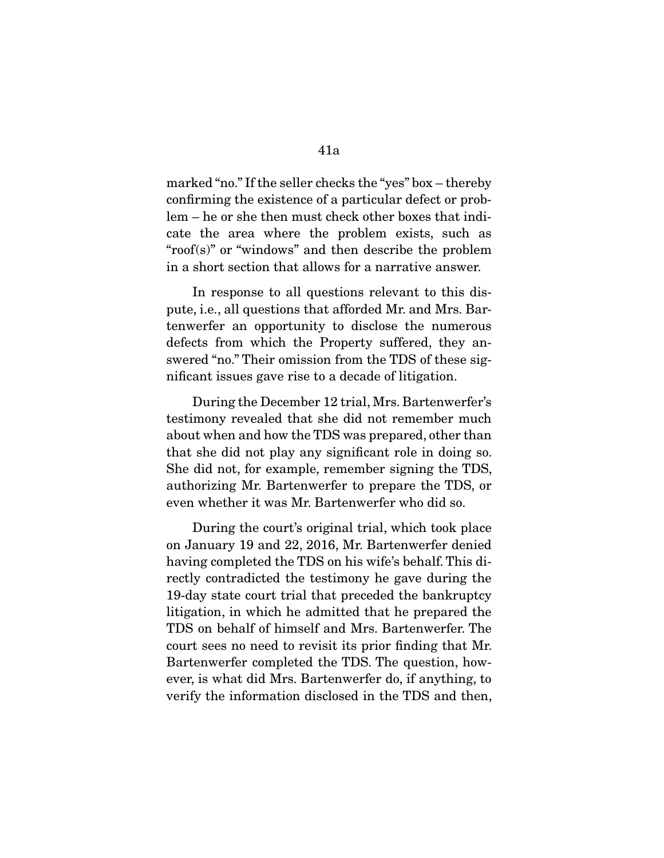marked "no." If the seller checks the "yes" box – thereby confirming the existence of a particular defect or problem – he or she then must check other boxes that indicate the area where the problem exists, such as "roof(s)" or "windows" and then describe the problem in a short section that allows for a narrative answer.

 In response to all questions relevant to this dispute, i.e., all questions that afforded Mr. and Mrs. Bartenwerfer an opportunity to disclose the numerous defects from which the Property suffered, they answered "no." Their omission from the TDS of these significant issues gave rise to a decade of litigation.

 During the December 12 trial, Mrs. Bartenwerfer's testimony revealed that she did not remember much about when and how the TDS was prepared, other than that she did not play any significant role in doing so. She did not, for example, remember signing the TDS, authorizing Mr. Bartenwerfer to prepare the TDS, or even whether it was Mr. Bartenwerfer who did so.

 During the court's original trial, which took place on January 19 and 22, 2016, Mr. Bartenwerfer denied having completed the TDS on his wife's behalf. This directly contradicted the testimony he gave during the 19-day state court trial that preceded the bankruptcy litigation, in which he admitted that he prepared the TDS on behalf of himself and Mrs. Bartenwerfer. The court sees no need to revisit its prior finding that Mr. Bartenwerfer completed the TDS. The question, however, is what did Mrs. Bartenwerfer do, if anything, to verify the information disclosed in the TDS and then,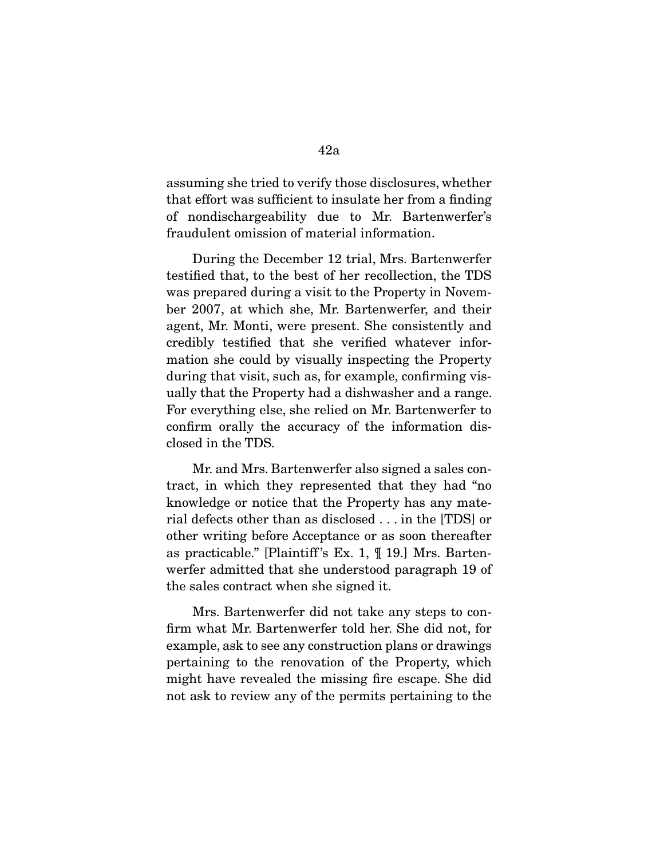assuming she tried to verify those disclosures, whether that effort was sufficient to insulate her from a finding of nondischargeability due to Mr. Bartenwerfer's fraudulent omission of material information.

 During the December 12 trial, Mrs. Bartenwerfer testified that, to the best of her recollection, the TDS was prepared during a visit to the Property in November 2007, at which she, Mr. Bartenwerfer, and their agent, Mr. Monti, were present. She consistently and credibly testified that she verified whatever information she could by visually inspecting the Property during that visit, such as, for example, confirming visually that the Property had a dishwasher and a range. For everything else, she relied on Mr. Bartenwerfer to confirm orally the accuracy of the information disclosed in the TDS.

 Mr. and Mrs. Bartenwerfer also signed a sales contract, in which they represented that they had "no knowledge or notice that the Property has any material defects other than as disclosed . . . in the [TDS] or other writing before Acceptance or as soon thereafter as practicable." [Plaintiff 's Ex. 1, ¶ 19.] Mrs. Bartenwerfer admitted that she understood paragraph 19 of the sales contract when she signed it.

 Mrs. Bartenwerfer did not take any steps to confirm what Mr. Bartenwerfer told her. She did not, for example, ask to see any construction plans or drawings pertaining to the renovation of the Property, which might have revealed the missing fire escape. She did not ask to review any of the permits pertaining to the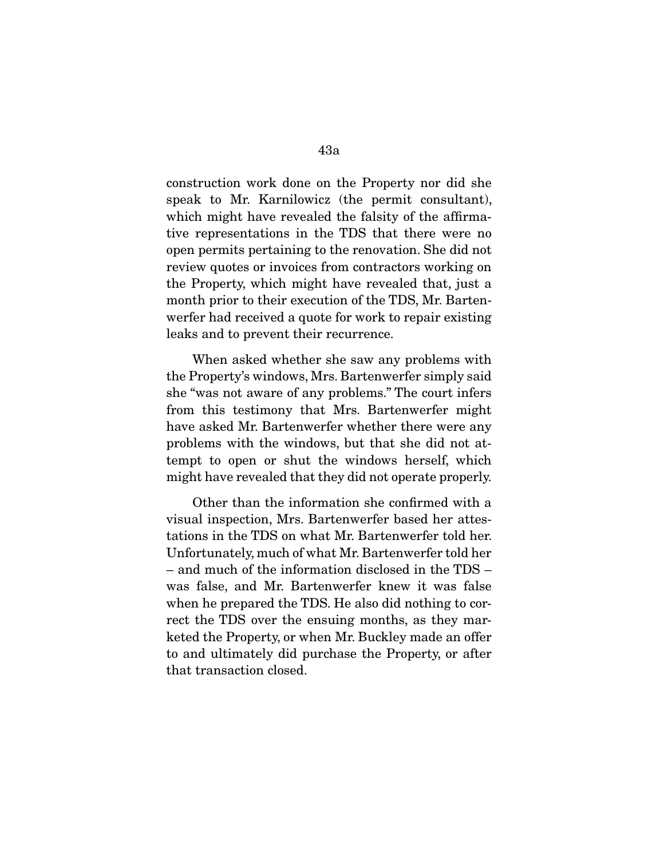construction work done on the Property nor did she speak to Mr. Karnilowicz (the permit consultant), which might have revealed the falsity of the affirmative representations in the TDS that there were no open permits pertaining to the renovation. She did not review quotes or invoices from contractors working on the Property, which might have revealed that, just a month prior to their execution of the TDS, Mr. Bartenwerfer had received a quote for work to repair existing leaks and to prevent their recurrence.

 When asked whether she saw any problems with the Property's windows, Mrs. Bartenwerfer simply said she "was not aware of any problems." The court infers from this testimony that Mrs. Bartenwerfer might have asked Mr. Bartenwerfer whether there were any problems with the windows, but that she did not attempt to open or shut the windows herself, which might have revealed that they did not operate properly.

 Other than the information she confirmed with a visual inspection, Mrs. Bartenwerfer based her attestations in the TDS on what Mr. Bartenwerfer told her. Unfortunately, much of what Mr. Bartenwerfer told her – and much of the information disclosed in the TDS – was false, and Mr. Bartenwerfer knew it was false when he prepared the TDS. He also did nothing to correct the TDS over the ensuing months, as they marketed the Property, or when Mr. Buckley made an offer to and ultimately did purchase the Property, or after that transaction closed.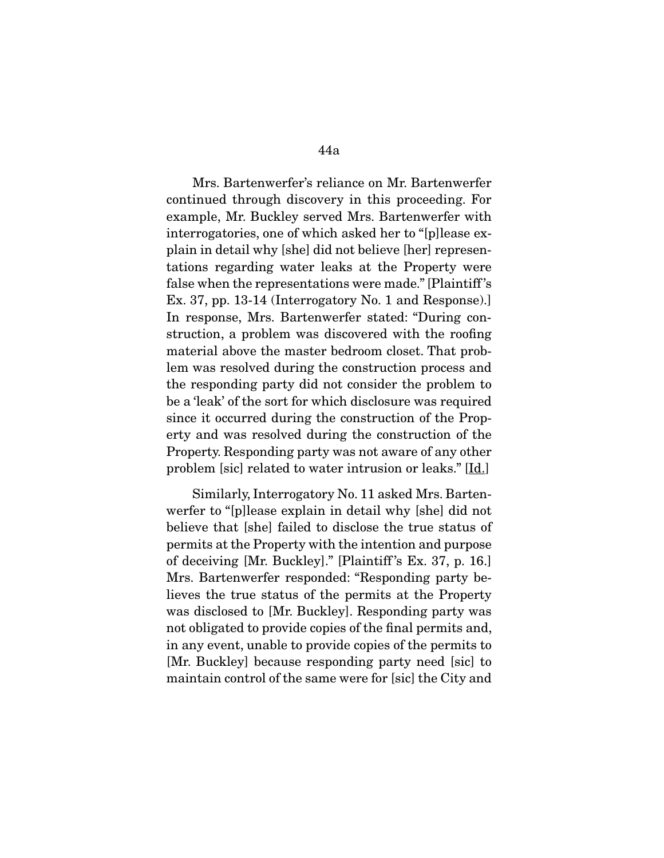Mrs. Bartenwerfer's reliance on Mr. Bartenwerfer continued through discovery in this proceeding. For example, Mr. Buckley served Mrs. Bartenwerfer with interrogatories, one of which asked her to "[p]lease explain in detail why [she] did not believe [her] representations regarding water leaks at the Property were false when the representations were made." [Plaintiff 's Ex. 37, pp. 13-14 (Interrogatory No. 1 and Response).] In response, Mrs. Bartenwerfer stated: "During construction, a problem was discovered with the roofing material above the master bedroom closet. That problem was resolved during the construction process and the responding party did not consider the problem to be a 'leak' of the sort for which disclosure was required since it occurred during the construction of the Property and was resolved during the construction of the Property. Responding party was not aware of any other problem [sic] related to water intrusion or leaks." [Id.]

 Similarly, Interrogatory No. 11 asked Mrs. Bartenwerfer to "[p]lease explain in detail why [she] did not believe that [she] failed to disclose the true status of permits at the Property with the intention and purpose of deceiving [Mr. Buckley]." [Plaintiff 's Ex. 37, p. 16.] Mrs. Bartenwerfer responded: "Responding party believes the true status of the permits at the Property was disclosed to [Mr. Buckley]. Responding party was not obligated to provide copies of the final permits and, in any event, unable to provide copies of the permits to [Mr. Buckley] because responding party need [sic] to maintain control of the same were for [sic] the City and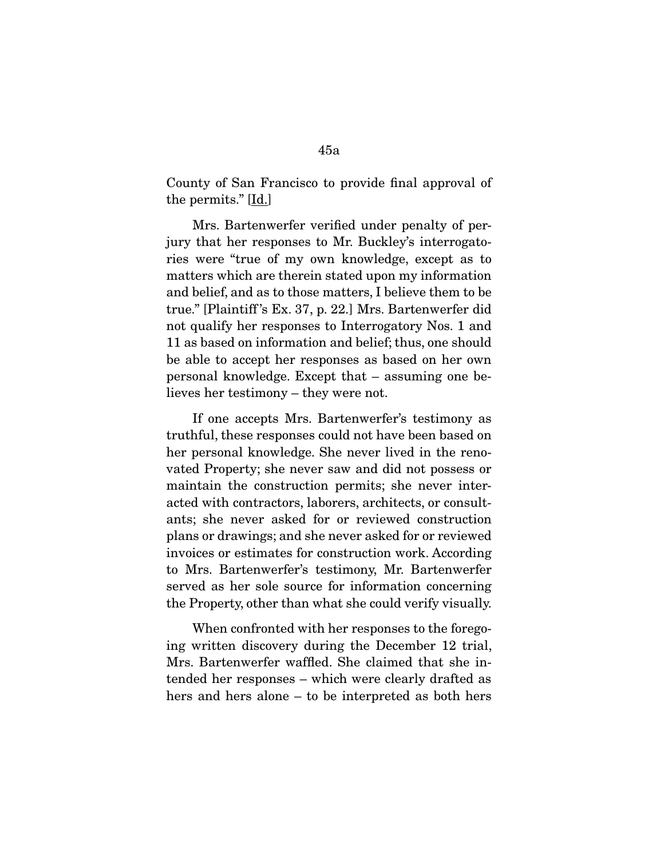County of San Francisco to provide final approval of the permits." [Id.]

 Mrs. Bartenwerfer verified under penalty of perjury that her responses to Mr. Buckley's interrogatories were "true of my own knowledge, except as to matters which are therein stated upon my information and belief, and as to those matters, I believe them to be true." [Plaintiff 's Ex. 37, p. 22.] Mrs. Bartenwerfer did not qualify her responses to Interrogatory Nos. 1 and 11 as based on information and belief; thus, one should be able to accept her responses as based on her own personal knowledge. Except that – assuming one believes her testimony – they were not.

 If one accepts Mrs. Bartenwerfer's testimony as truthful, these responses could not have been based on her personal knowledge. She never lived in the renovated Property; she never saw and did not possess or maintain the construction permits; she never interacted with contractors, laborers, architects, or consultants; she never asked for or reviewed construction plans or drawings; and she never asked for or reviewed invoices or estimates for construction work. According to Mrs. Bartenwerfer's testimony, Mr. Bartenwerfer served as her sole source for information concerning the Property, other than what she could verify visually.

 When confronted with her responses to the foregoing written discovery during the December 12 trial, Mrs. Bartenwerfer waffled. She claimed that she intended her responses – which were clearly drafted as hers and hers alone – to be interpreted as both hers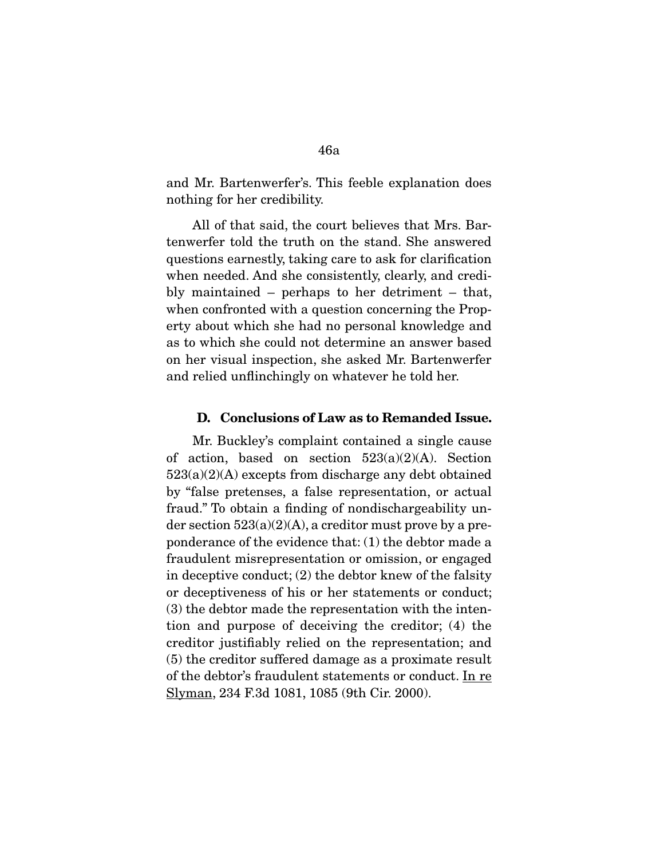and Mr. Bartenwerfer's. This feeble explanation does nothing for her credibility.

 All of that said, the court believes that Mrs. Bartenwerfer told the truth on the stand. She answered questions earnestly, taking care to ask for clarification when needed. And she consistently, clearly, and credibly maintained – perhaps to her detriment – that, when confronted with a question concerning the Property about which she had no personal knowledge and as to which she could not determine an answer based on her visual inspection, she asked Mr. Bartenwerfer and relied unflinchingly on whatever he told her.

#### **D. Conclusions of Law as to Remanded Issue.**

 Mr. Buckley's complaint contained a single cause of action, based on section  $523(a)(2)(A)$ . Section  $523(a)(2)(A)$  excepts from discharge any debt obtained by "false pretenses, a false representation, or actual fraud." To obtain a finding of nondischargeability under section  $523(a)(2)(A)$ , a creditor must prove by a preponderance of the evidence that: (1) the debtor made a fraudulent misrepresentation or omission, or engaged in deceptive conduct; (2) the debtor knew of the falsity or deceptiveness of his or her statements or conduct; (3) the debtor made the representation with the intention and purpose of deceiving the creditor; (4) the creditor justifiably relied on the representation; and (5) the creditor suffered damage as a proximate result of the debtor's fraudulent statements or conduct. In re Slyman, 234 F.3d 1081, 1085 (9th Cir. 2000).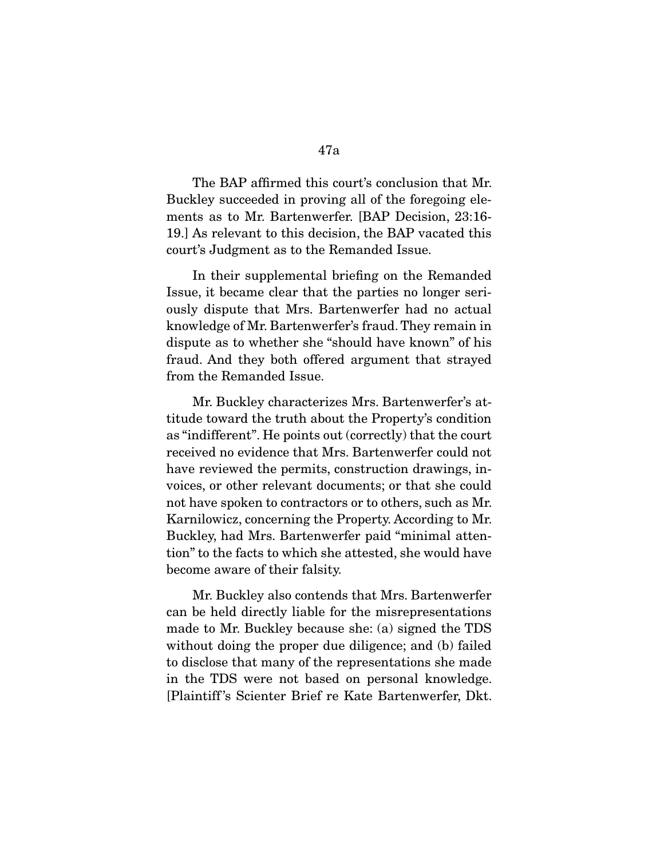The BAP affirmed this court's conclusion that Mr. Buckley succeeded in proving all of the foregoing elements as to Mr. Bartenwerfer. [BAP Decision, 23:16- 19.] As relevant to this decision, the BAP vacated this court's Judgment as to the Remanded Issue.

 In their supplemental briefing on the Remanded Issue, it became clear that the parties no longer seriously dispute that Mrs. Bartenwerfer had no actual knowledge of Mr. Bartenwerfer's fraud. They remain in dispute as to whether she "should have known" of his fraud. And they both offered argument that strayed from the Remanded Issue.

 Mr. Buckley characterizes Mrs. Bartenwerfer's attitude toward the truth about the Property's condition as "indifferent". He points out (correctly) that the court received no evidence that Mrs. Bartenwerfer could not have reviewed the permits, construction drawings, invoices, or other relevant documents; or that she could not have spoken to contractors or to others, such as Mr. Karnilowicz, concerning the Property. According to Mr. Buckley, had Mrs. Bartenwerfer paid "minimal attention" to the facts to which she attested, she would have become aware of their falsity.

 Mr. Buckley also contends that Mrs. Bartenwerfer can be held directly liable for the misrepresentations made to Mr. Buckley because she: (a) signed the TDS without doing the proper due diligence; and (b) failed to disclose that many of the representations she made in the TDS were not based on personal knowledge. [Plaintiff 's Scienter Brief re Kate Bartenwerfer, Dkt.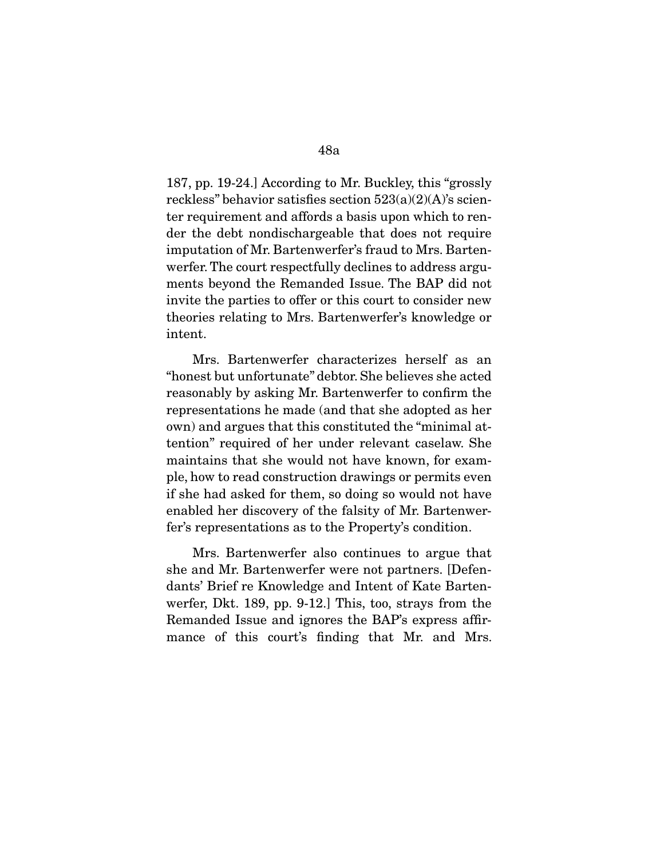187, pp. 19-24.] According to Mr. Buckley, this "grossly reckless" behavior satisfies section  $523(a)(2)(A)$ 's scienter requirement and affords a basis upon which to render the debt nondischargeable that does not require imputation of Mr. Bartenwerfer's fraud to Mrs. Bartenwerfer. The court respectfully declines to address arguments beyond the Remanded Issue. The BAP did not invite the parties to offer or this court to consider new theories relating to Mrs. Bartenwerfer's knowledge or intent.

 Mrs. Bartenwerfer characterizes herself as an "honest but unfortunate" debtor. She believes she acted reasonably by asking Mr. Bartenwerfer to confirm the representations he made (and that she adopted as her own) and argues that this constituted the "minimal attention" required of her under relevant caselaw. She maintains that she would not have known, for example, how to read construction drawings or permits even if she had asked for them, so doing so would not have enabled her discovery of the falsity of Mr. Bartenwerfer's representations as to the Property's condition.

 Mrs. Bartenwerfer also continues to argue that she and Mr. Bartenwerfer were not partners. [Defendants' Brief re Knowledge and Intent of Kate Bartenwerfer, Dkt. 189, pp. 9-12.] This, too, strays from the Remanded Issue and ignores the BAP's express affirmance of this court's finding that Mr. and Mrs.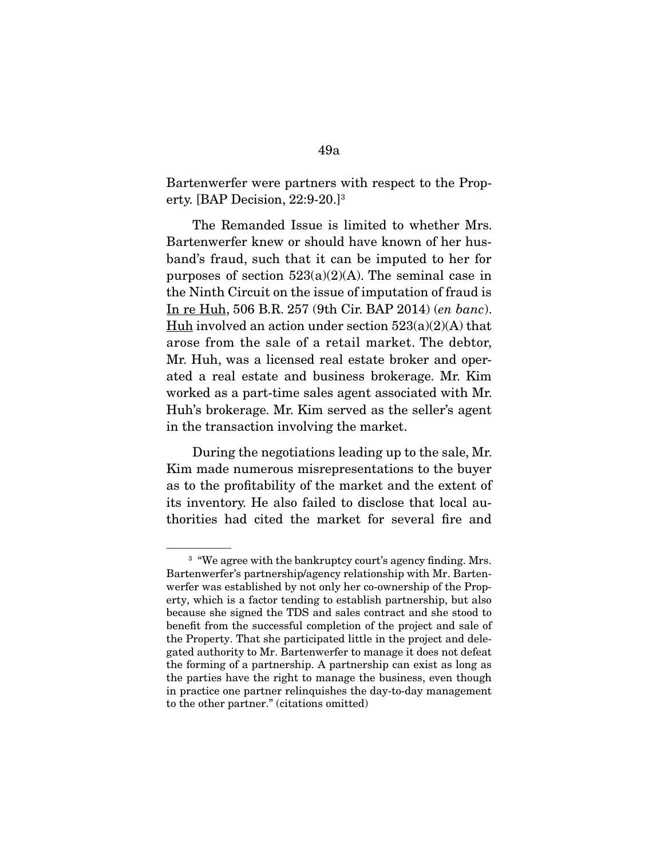Bartenwerfer were partners with respect to the Property. [BAP Decision, 22:9-20.]3

 The Remanded Issue is limited to whether Mrs. Bartenwerfer knew or should have known of her husband's fraud, such that it can be imputed to her for purposes of section  $523(a)(2)(A)$ . The seminal case in the Ninth Circuit on the issue of imputation of fraud is In re Huh, 506 B.R. 257 (9th Cir. BAP 2014) (en banc). Huh involved an action under section  $523(a)(2)(A)$  that arose from the sale of a retail market. The debtor, Mr. Huh, was a licensed real estate broker and operated a real estate and business brokerage. Mr. Kim worked as a part-time sales agent associated with Mr. Huh's brokerage. Mr. Kim served as the seller's agent in the transaction involving the market.

 During the negotiations leading up to the sale, Mr. Kim made numerous misrepresentations to the buyer as to the profitability of the market and the extent of its inventory. He also failed to disclose that local authorities had cited the market for several fire and

<sup>&</sup>lt;sup>3</sup> "We agree with the bankruptcy court's agency finding. Mrs. Bartenwerfer's partnership/agency relationship with Mr. Bartenwerfer was established by not only her co-ownership of the Property, which is a factor tending to establish partnership, but also because she signed the TDS and sales contract and she stood to benefit from the successful completion of the project and sale of the Property. That she participated little in the project and delegated authority to Mr. Bartenwerfer to manage it does not defeat the forming of a partnership. A partnership can exist as long as the parties have the right to manage the business, even though in practice one partner relinquishes the day-to-day management to the other partner." (citations omitted)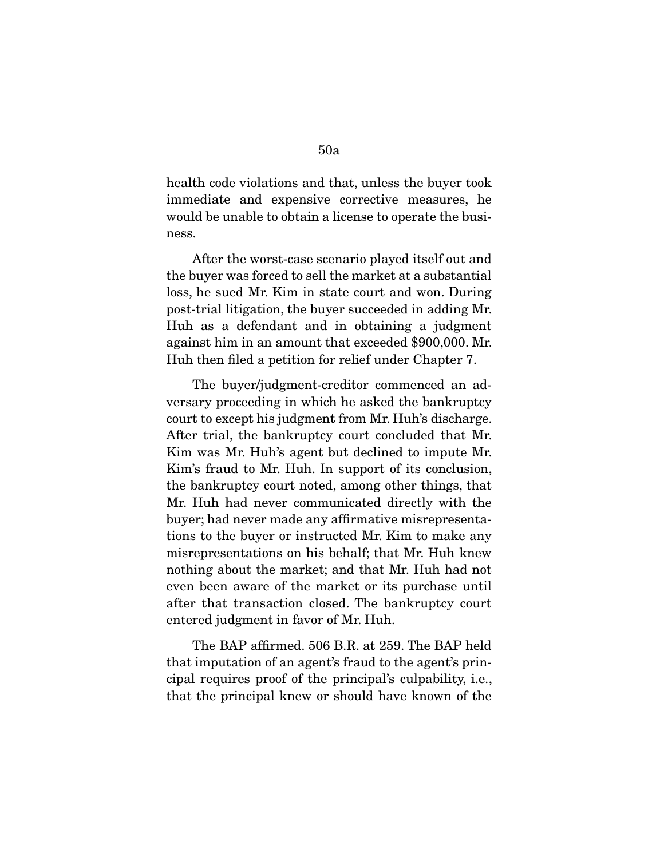health code violations and that, unless the buyer took immediate and expensive corrective measures, he would be unable to obtain a license to operate the business.

 After the worst-case scenario played itself out and the buyer was forced to sell the market at a substantial loss, he sued Mr. Kim in state court and won. During post-trial litigation, the buyer succeeded in adding Mr. Huh as a defendant and in obtaining a judgment against him in an amount that exceeded \$900,000. Mr. Huh then filed a petition for relief under Chapter 7.

 The buyer/judgment-creditor commenced an adversary proceeding in which he asked the bankruptcy court to except his judgment from Mr. Huh's discharge. After trial, the bankruptcy court concluded that Mr. Kim was Mr. Huh's agent but declined to impute Mr. Kim's fraud to Mr. Huh. In support of its conclusion, the bankruptcy court noted, among other things, that Mr. Huh had never communicated directly with the buyer; had never made any affirmative misrepresentations to the buyer or instructed Mr. Kim to make any misrepresentations on his behalf; that Mr. Huh knew nothing about the market; and that Mr. Huh had not even been aware of the market or its purchase until after that transaction closed. The bankruptcy court entered judgment in favor of Mr. Huh.

 The BAP affirmed. 506 B.R. at 259. The BAP held that imputation of an agent's fraud to the agent's principal requires proof of the principal's culpability, i.e., that the principal knew or should have known of the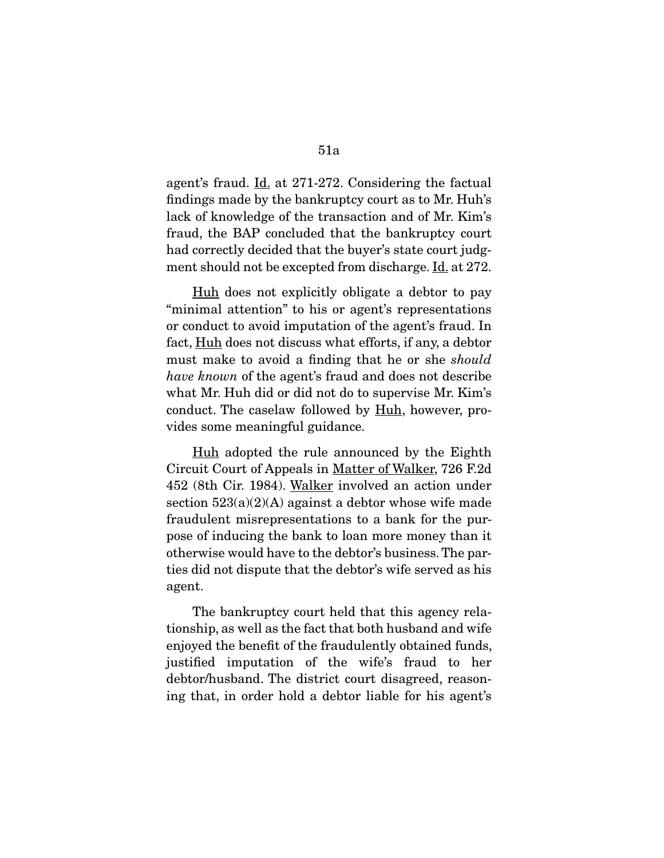agent's fraud. <u>Id.</u> at 271-272. Considering the factual findings made by the bankruptcy court as to Mr. Huh's lack of knowledge of the transaction and of Mr. Kim's fraud, the BAP concluded that the bankruptcy court had correctly decided that the buyer's state court judgment should not be excepted from discharge. Id. at 272.

 Huh does not explicitly obligate a debtor to pay "minimal attention" to his or agent's representations or conduct to avoid imputation of the agent's fraud. In fact, <u>Huh</u> does not discuss what efforts, if any, a debtor must make to avoid a finding that he or she should have known of the agent's fraud and does not describe what Mr. Huh did or did not do to supervise Mr. Kim's conduct. The caselaw followed by Huh, however, provides some meaningful guidance.

Huh adopted the rule announced by the Eighth Circuit Court of Appeals in Matter of Walker, 726 F.2d 452 (8th Cir. 1984). Walker involved an action under section  $523(a)(2)(A)$  against a debtor whose wife made fraudulent misrepresentations to a bank for the purpose of inducing the bank to loan more money than it otherwise would have to the debtor's business. The parties did not dispute that the debtor's wife served as his agent.

 The bankruptcy court held that this agency relationship, as well as the fact that both husband and wife enjoyed the benefit of the fraudulently obtained funds, justified imputation of the wife's fraud to her debtor/husband. The district court disagreed, reasoning that, in order hold a debtor liable for his agent's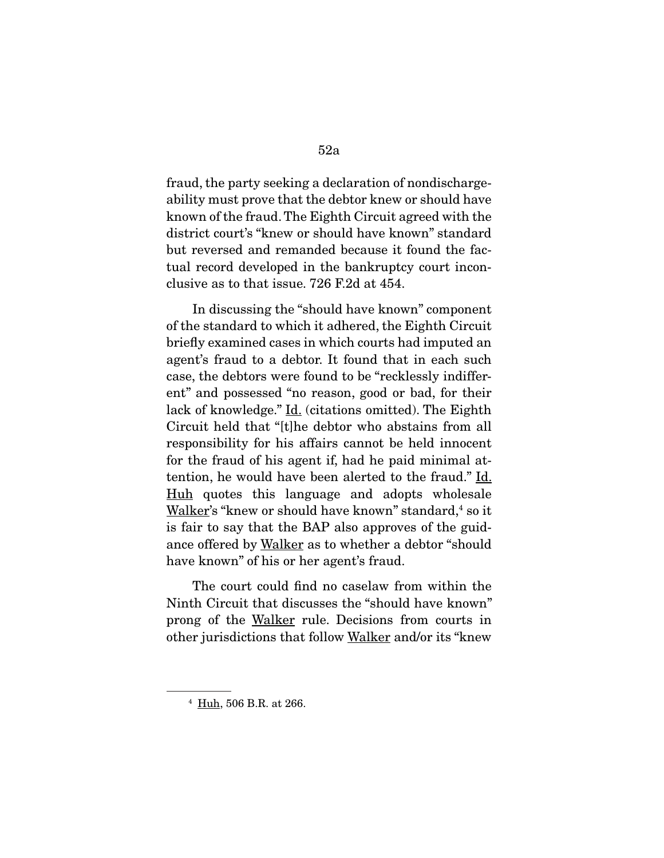fraud, the party seeking a declaration of nondischargeability must prove that the debtor knew or should have known of the fraud. The Eighth Circuit agreed with the district court's "knew or should have known" standard but reversed and remanded because it found the factual record developed in the bankruptcy court inconclusive as to that issue. 726 F.2d at 454.

 In discussing the "should have known" component of the standard to which it adhered, the Eighth Circuit briefly examined cases in which courts had imputed an agent's fraud to a debtor. It found that in each such case, the debtors were found to be "recklessly indifferent" and possessed "no reason, good or bad, for their lack of knowledge." Id. (citations omitted). The Eighth Circuit held that "[t]he debtor who abstains from all responsibility for his affairs cannot be held innocent for the fraud of his agent if, had he paid minimal attention, he would have been alerted to the fraud." Id. Huh quotes this language and adopts wholesale Walker's "knew or should have known" standard,<sup>4</sup> so it is fair to say that the BAP also approves of the guidance offered by Walker as to whether a debtor "should have known" of his or her agent's fraud.

 The court could find no caselaw from within the Ninth Circuit that discusses the "should have known" prong of the Walker rule. Decisions from courts in other jurisdictions that follow Walker and/or its "knew

<sup>4</sup> Huh, 506 B.R. at 266.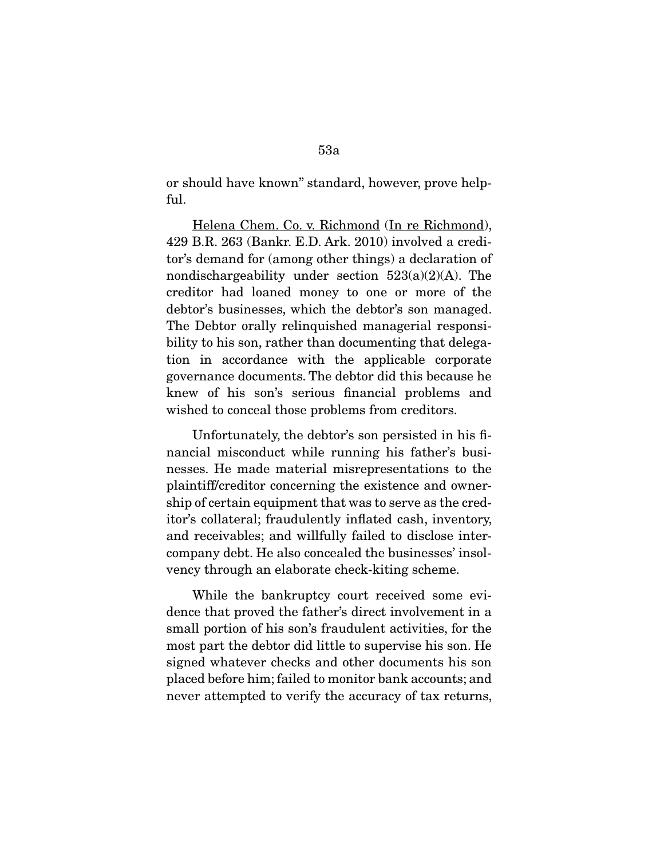or should have known" standard, however, prove helpful.

 Helena Chem. Co. v. Richmond (In re Richmond), 429 B.R. 263 (Bankr. E.D. Ark. 2010) involved a creditor's demand for (among other things) a declaration of nondischargeability under section  $523(a)(2)(A)$ . The creditor had loaned money to one or more of the debtor's businesses, which the debtor's son managed. The Debtor orally relinquished managerial responsibility to his son, rather than documenting that delegation in accordance with the applicable corporate governance documents. The debtor did this because he knew of his son's serious financial problems and wished to conceal those problems from creditors.

 Unfortunately, the debtor's son persisted in his financial misconduct while running his father's businesses. He made material misrepresentations to the plaintiff/creditor concerning the existence and ownership of certain equipment that was to serve as the creditor's collateral; fraudulently inflated cash, inventory, and receivables; and willfully failed to disclose intercompany debt. He also concealed the businesses' insolvency through an elaborate check-kiting scheme.

 While the bankruptcy court received some evidence that proved the father's direct involvement in a small portion of his son's fraudulent activities, for the most part the debtor did little to supervise his son. He signed whatever checks and other documents his son placed before him; failed to monitor bank accounts; and never attempted to verify the accuracy of tax returns,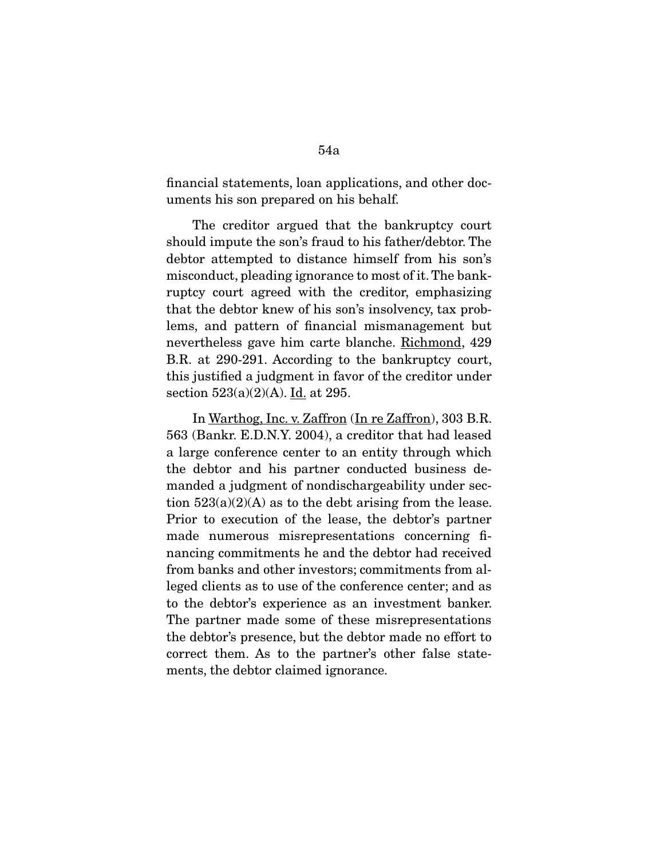financial statements, loan applications, and other documents his son prepared on his behalf.

 The creditor argued that the bankruptcy court should impute the son's fraud to his father/debtor. The debtor attempted to distance himself from his son's misconduct, pleading ignorance to most of it. The bankruptcy court agreed with the creditor, emphasizing that the debtor knew of his son's insolvency, tax problems, and pattern of financial mismanagement but nevertheless gave him carte blanche. Richmond, 429 B.R. at 290-291. According to the bankruptcy court, this justified a judgment in favor of the creditor under section  $523(a)(2)(A)$ . Id. at 295.

 In Warthog, Inc. v. Zaffron (In re Zaffron), 303 B.R. 563 (Bankr. E.D.N.Y. 2004), a creditor that had leased a large conference center to an entity through which the debtor and his partner conducted business demanded a judgment of nondischargeability under section  $523(a)(2)(A)$  as to the debt arising from the lease. Prior to execution of the lease, the debtor's partner made numerous misrepresentations concerning financing commitments he and the debtor had received from banks and other investors; commitments from alleged clients as to use of the conference center; and as to the debtor's experience as an investment banker. The partner made some of these misrepresentations the debtor's presence, but the debtor made no effort to correct them. As to the partner's other false statements, the debtor claimed ignorance.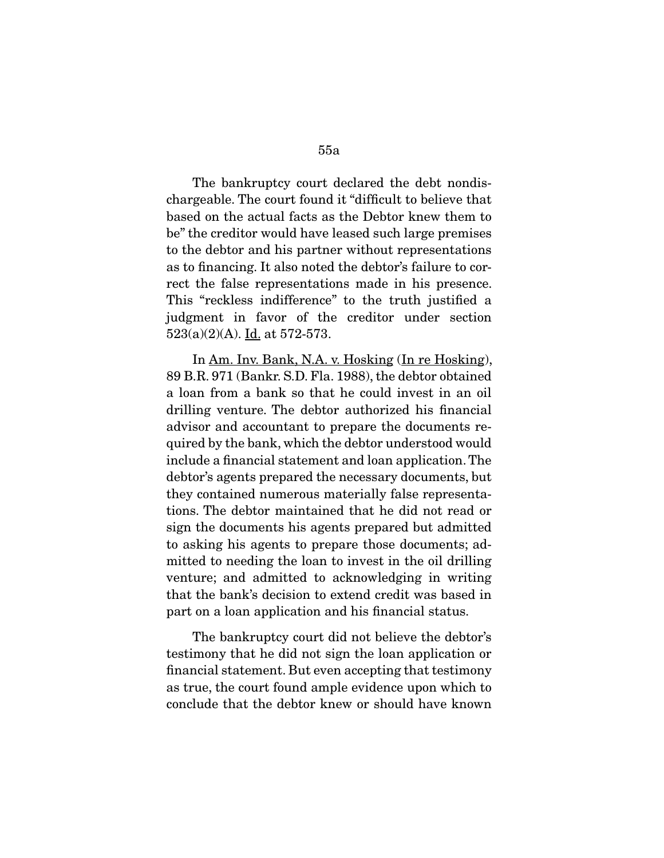The bankruptcy court declared the debt nondischargeable. The court found it "difficult to believe that based on the actual facts as the Debtor knew them to be" the creditor would have leased such large premises to the debtor and his partner without representations as to financing. It also noted the debtor's failure to correct the false representations made in his presence. This "reckless indifference" to the truth justified a judgment in favor of the creditor under section  $523(a)(2)(A)$ . <u>Id.</u> at 572-573.

 In Am. Inv. Bank, N.A. v. Hosking (In re Hosking), 89 B.R. 971 (Bankr. S.D. Fla. 1988), the debtor obtained a loan from a bank so that he could invest in an oil drilling venture. The debtor authorized his financial advisor and accountant to prepare the documents required by the bank, which the debtor understood would include a financial statement and loan application. The debtor's agents prepared the necessary documents, but they contained numerous materially false representations. The debtor maintained that he did not read or sign the documents his agents prepared but admitted to asking his agents to prepare those documents; admitted to needing the loan to invest in the oil drilling venture; and admitted to acknowledging in writing that the bank's decision to extend credit was based in part on a loan application and his financial status.

 The bankruptcy court did not believe the debtor's testimony that he did not sign the loan application or financial statement. But even accepting that testimony as true, the court found ample evidence upon which to conclude that the debtor knew or should have known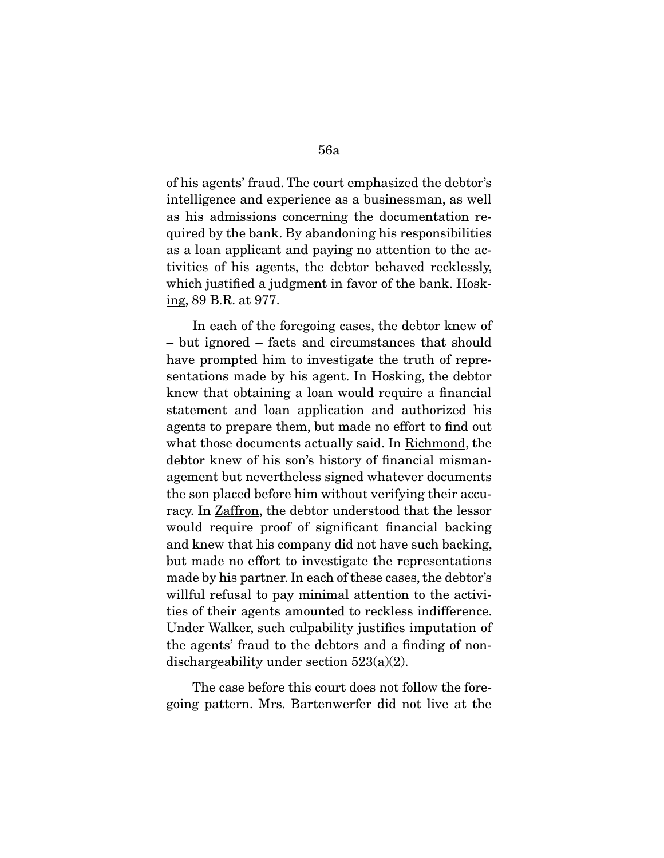of his agents' fraud. The court emphasized the debtor's intelligence and experience as a businessman, as well as his admissions concerning the documentation required by the bank. By abandoning his responsibilities as a loan applicant and paying no attention to the activities of his agents, the debtor behaved recklessly, which justified a judgment in favor of the bank. Hosking, 89 B.R. at 977.

 In each of the foregoing cases, the debtor knew of – but ignored – facts and circumstances that should have prompted him to investigate the truth of representations made by his agent. In Hosking, the debtor knew that obtaining a loan would require a financial statement and loan application and authorized his agents to prepare them, but made no effort to find out what those documents actually said. In Richmond, the debtor knew of his son's history of financial mismanagement but nevertheless signed whatever documents the son placed before him without verifying their accuracy. In **Zaffron**, the debtor understood that the lessor would require proof of significant financial backing and knew that his company did not have such backing, but made no effort to investigate the representations made by his partner. In each of these cases, the debtor's willful refusal to pay minimal attention to the activities of their agents amounted to reckless indifference. Under Walker, such culpability justifies imputation of the agents' fraud to the debtors and a finding of nondischargeability under section 523(a)(2).

 The case before this court does not follow the foregoing pattern. Mrs. Bartenwerfer did not live at the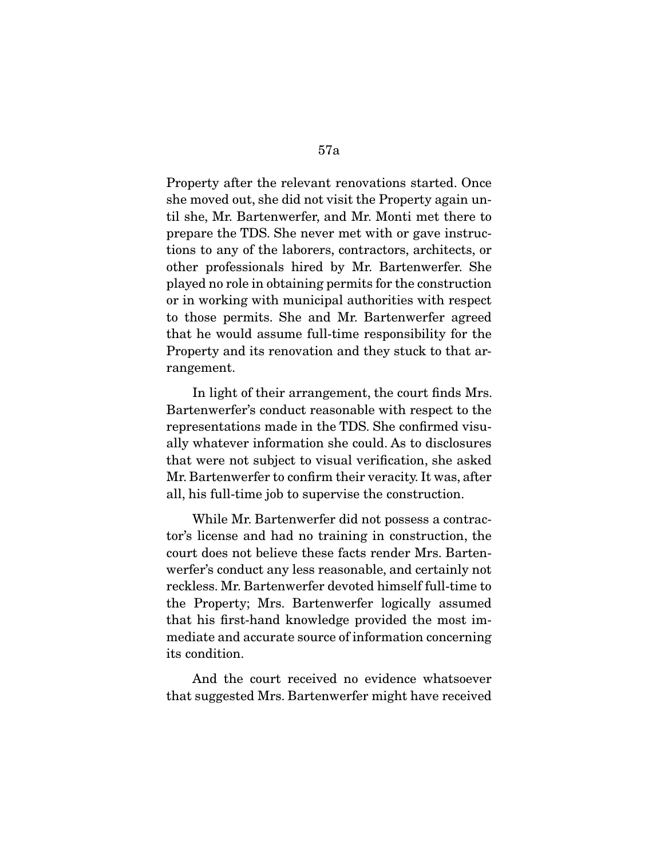Property after the relevant renovations started. Once she moved out, she did not visit the Property again until she, Mr. Bartenwerfer, and Mr. Monti met there to prepare the TDS. She never met with or gave instructions to any of the laborers, contractors, architects, or other professionals hired by Mr. Bartenwerfer. She played no role in obtaining permits for the construction or in working with municipal authorities with respect to those permits. She and Mr. Bartenwerfer agreed that he would assume full-time responsibility for the Property and its renovation and they stuck to that arrangement.

 In light of their arrangement, the court finds Mrs. Bartenwerfer's conduct reasonable with respect to the representations made in the TDS. She confirmed visually whatever information she could. As to disclosures that were not subject to visual verification, she asked Mr. Bartenwerfer to confirm their veracity. It was, after all, his full-time job to supervise the construction.

 While Mr. Bartenwerfer did not possess a contractor's license and had no training in construction, the court does not believe these facts render Mrs. Bartenwerfer's conduct any less reasonable, and certainly not reckless. Mr. Bartenwerfer devoted himself full-time to the Property; Mrs. Bartenwerfer logically assumed that his first-hand knowledge provided the most immediate and accurate source of information concerning its condition.

 And the court received no evidence whatsoever that suggested Mrs. Bartenwerfer might have received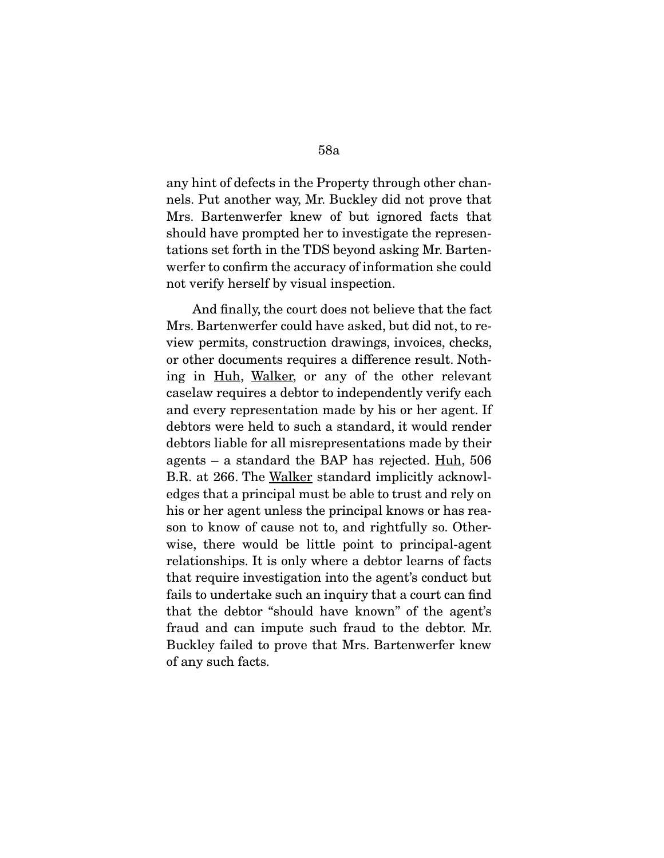any hint of defects in the Property through other channels. Put another way, Mr. Buckley did not prove that Mrs. Bartenwerfer knew of but ignored facts that should have prompted her to investigate the representations set forth in the TDS beyond asking Mr. Bartenwerfer to confirm the accuracy of information she could not verify herself by visual inspection.

 And finally, the court does not believe that the fact Mrs. Bartenwerfer could have asked, but did not, to review permits, construction drawings, invoices, checks, or other documents requires a difference result. Nothing in Huh, Walker, or any of the other relevant caselaw requires a debtor to independently verify each and every representation made by his or her agent. If debtors were held to such a standard, it would render debtors liable for all misrepresentations made by their agents – a standard the BAP has rejected. Huh, 506 B.R. at 266. The Walker standard implicitly acknowledges that a principal must be able to trust and rely on his or her agent unless the principal knows or has reason to know of cause not to, and rightfully so. Otherwise, there would be little point to principal-agent relationships. It is only where a debtor learns of facts that require investigation into the agent's conduct but fails to undertake such an inquiry that a court can find that the debtor "should have known" of the agent's fraud and can impute such fraud to the debtor. Mr. Buckley failed to prove that Mrs. Bartenwerfer knew of any such facts.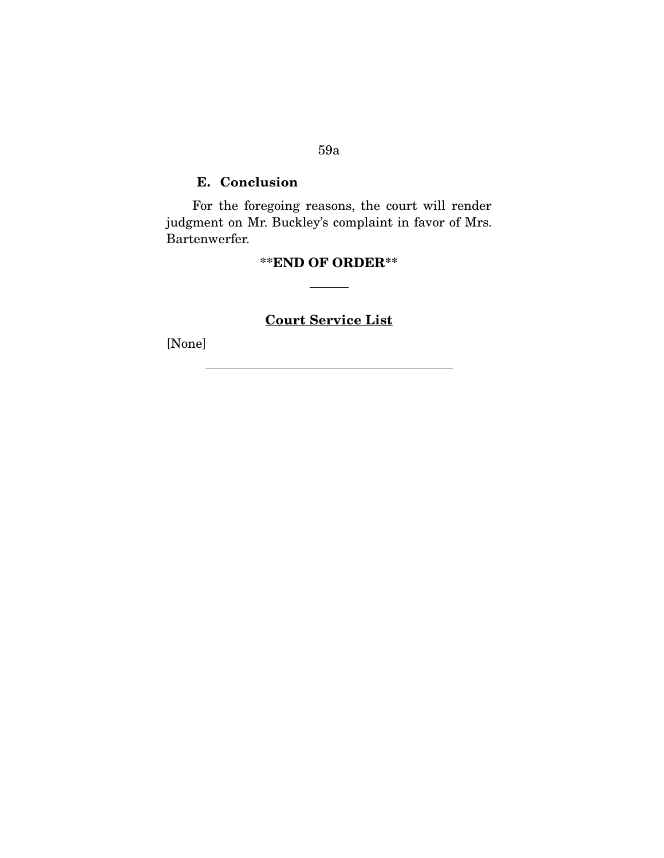# **E. Conclusion**

 For the foregoing reasons, the court will render judgment on Mr. Buckley's complaint in favor of Mrs. Bartenwerfer.

# **\*\*END OF ORDER\*\***

# **Court Service List**

[None]

#### 59a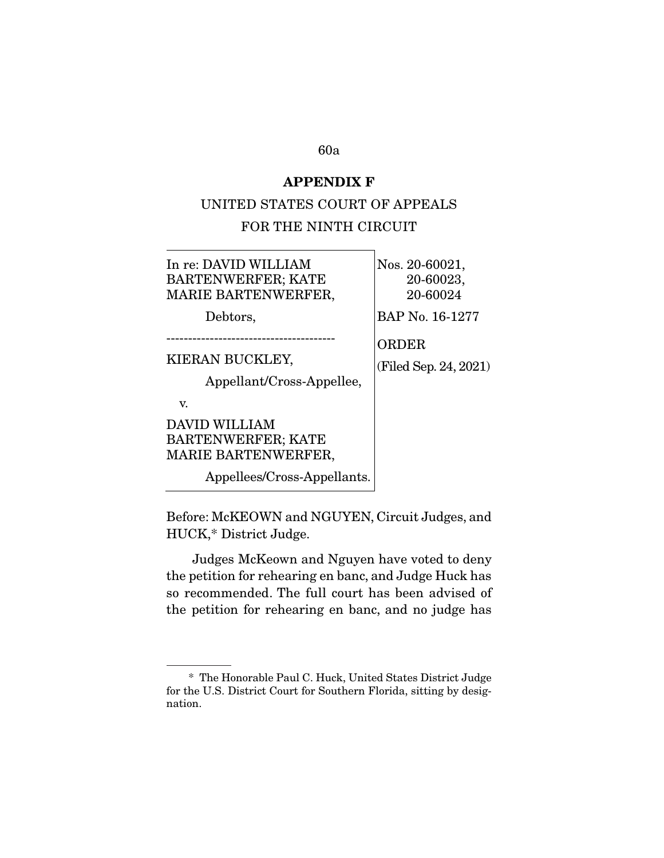#### **APPENDIX F**

#### UNITED STATES COURT OF APPEALS

#### FOR THE NINTH CIRCUIT

| In re: DAVID WILLIAM |  |
|----------------------|--|
| BARTENWERFER; KATE   |  |
| MARIE BARTENWERFER,  |  |

Debtors,

Nos. 20-60021, 20-60023, 20-60024

BAP No. 16-1277

ORDER

KIERAN BUCKLEY,

(Filed Sep. 24, 2021)

Appellant/Cross-Appellee,

---------------------------------------

v.

# DAVID WILLIAM BARTENWERFER; KATE MARIE BARTENWERFER,

Appellees/Cross-Appellants.

Before: McKEOWN and NGUYEN, Circuit Judges, and HUCK,\* District Judge.

 Judges McKeown and Nguyen have voted to deny the petition for rehearing en banc, and Judge Huck has so recommended. The full court has been advised of the petition for rehearing en banc, and no judge has

 <sup>\*</sup> The Honorable Paul C. Huck, United States District Judge for the U.S. District Court for Southern Florida, sitting by designation.